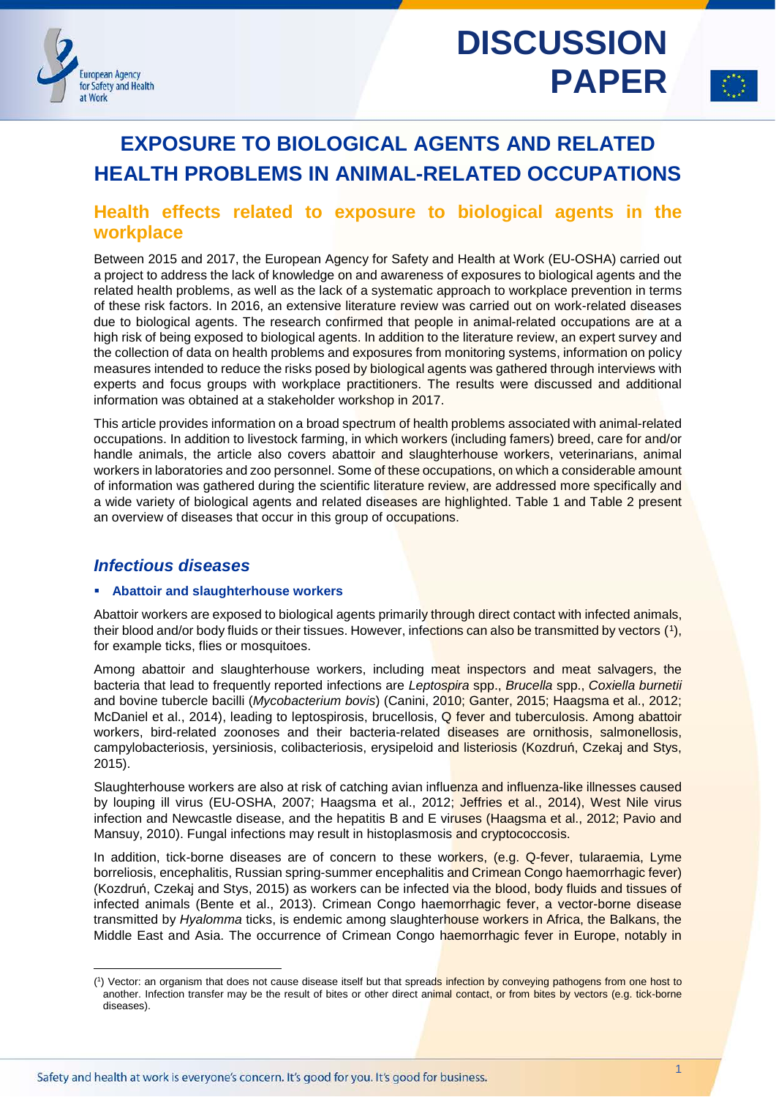

1

# **EXPOSURE TO BIOLOGICAL AGENTS AND RELATED HEALTH PROBLEMS IN ANIMAL-RELATED OCCUPATIONS**

# **Health effects related to exposure to biological agents in the workplace**

Between 2015 and 2017, the European Agency for Safety and Health at Work (EU-OSHA) carried out a project to address the lack of knowledge on and awareness of exposures to biological agents and the related health problems, as well as the lack of a systematic approach to workplace prevention in terms of these risk factors. In 2016, an extensive literature review was carried out on work-related diseases due to biological agents. The research confirmed that people in animal-related occupations are at a high risk of being exposed to biological agents. In addition to the literature review, an expert survey and the collection of data on health problems and exposures from monitoring systems, information on policy measures intended to reduce the risks posed by biological agents was gathered through interviews with experts and focus groups with workplace practitioners. The results were discussed and additional information was obtained at a stakeholder workshop in 2017.

This article provides information on a broad spectrum of health problems associated with animal-related occupations. In addition to livestock farming, in which workers (including famers) breed, care for and/or handle animals, the article also covers abattoir and slaughterhouse workers, veterinarians, animal workers in laboratories and zoo personnel. Some of these occupations, on which a considerable amount of information was gathered during the scientific literature review, are addressed more specifically and a wide variety of biological agents and related diseases are highlighted. [Table 1](#page-2-0) and [Table 2](#page-16-0) present an overview of diseases that occur in this group of occupations.

# *Infectious diseases*

-

### **Abattoir and slaughterhouse workers**

Abattoir workers are exposed to biological agents primarily through direct contact with infected animals, their blood and/or body fluids or their tissues. However, infections can also be transmitted by vectors ([1](#page-0-0)), for example ticks, flies or mosquitoes.

Among abattoir and slaughterhouse workers, including meat inspectors and meat salvagers, the bacteria that lead to frequently reported infections are *Leptospira* spp., *Brucella* spp., *Coxiella burnetii* and bovine tubercle bacilli (*Mycobacterium bovis*) (Canini, 2010; Ganter, 2015; Haagsma et al., 2012; McDaniel et al., 2014), leading to leptospirosis, brucellosis, Q fever and tuberculosis. Among abattoir workers, bird-related zoonoses and their bacteria-related diseases are ornithosis, salmonellosis, campylobacteriosis, yersiniosis, colibacteriosis, erysipeloid and listeriosis (Kozdruń, Czekaj and Stys, 2015).

Slaughterhouse workers are also at risk of catching avian influenza and influenza-like illnesses caused by louping ill virus (EU-OSHA, 2007; Haagsma et al., 2012; Jeffries et al., 2014), West Nile virus infection and Newcastle disease, and the hepatitis B and E viruses (Haagsma et al., 2012; Pavio and Mansuy, 2010). Fungal infections may result in histoplasmosis and cryptococcosis.

In addition, tick-borne diseases are of concern to these workers, (e.g. Q-fever, tularaemia, Lyme borreliosis, encephalitis, Russian spring-summer encephalitis and Crimean Congo haemorrhagic fever) (Kozdruń, Czekaj and Stys, 2015) as workers can be infected via the blood, body fluids and tissues of infected animals (Bente et al., 2013). Crimean Congo haemorrhagic fever, a vector-borne disease transmitted by *Hyalomma* ticks, is endemic among slaughterhouse workers in Africa, the Balkans, the Middle East and Asia. The occurrence of Crimean Congo haemorrhagic fever in Europe, notably in

<span id="page-0-0"></span><sup>(&</sup>lt;sup>1</sup>) Vector: an organism that does not cause disease itself but that spreads infection by conveying pathogens from one host to another. Infection transfer may be the result of bites or other direct animal contact, or from bites by vectors (e.g. tick-borne diseases).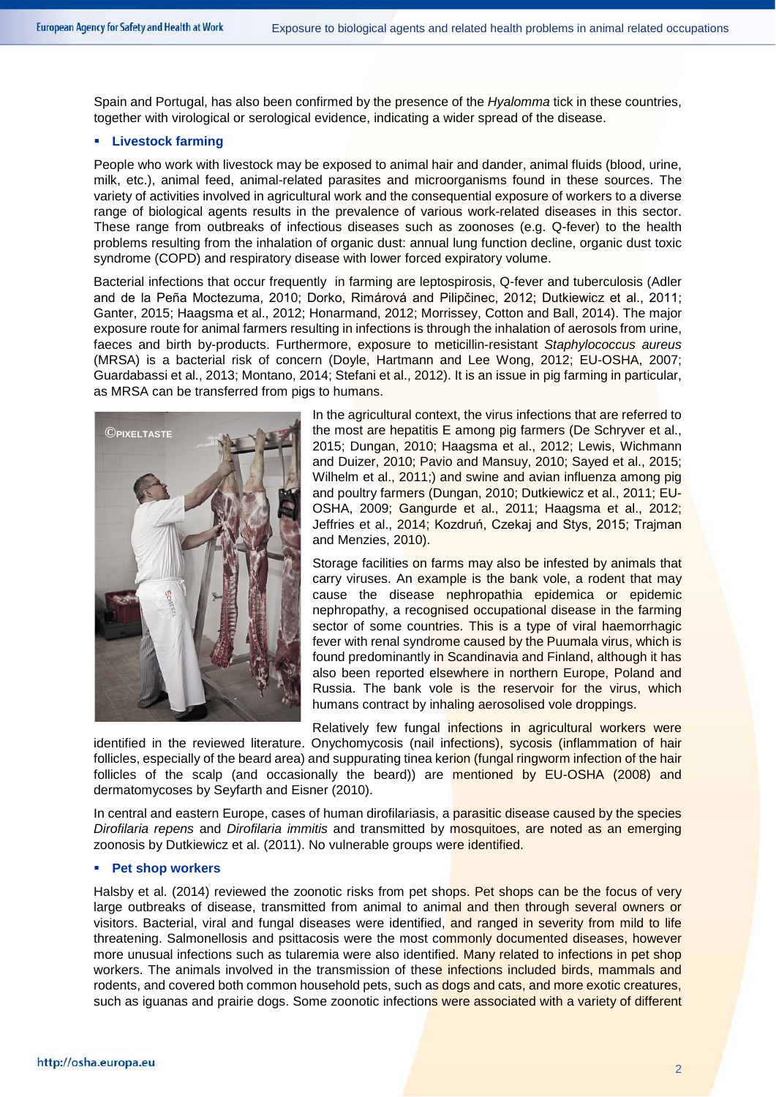Spain and Portugal, has also been confirmed by the presence of the *Hyalomma* tick in these countries, together with virological or serological evidence, indicating a wider spread of the disease.

### **Livestock farming**

People who work with livestock may be exposed to animal hair and dander, animal fluids (blood, urine, milk, etc.), animal feed, animal-related parasites and microorganisms found in these sources. The variety of activities involved in agricultural work and the consequential exposure of workers to a diverse range of biological agents results in the prevalence of various work-related diseases in this sector. These range from outbreaks of infectious diseases such as zoonoses (e.g. Q-fever) to the health problems resulting from the inhalation of organic dust: annual lung function decline, organic dust toxic syndrome (COPD) and respiratory disease with lower forced expiratory volume.

Bacterial infections that occur frequently in farming are leptospirosis, Q-fever and tuberculosis (Adler and de la Peña Moctezuma, 2010; Dorko, Rimárová and Pilipčinec, 2012; Dutkiewicz et al., 2011; Ganter, 2015; Haagsma et al., 2012; Honarmand, 2012; Morrissey, Cotton and Ball, 2014). The major exposure route for animal farmers resulting in infections is through the inhalation of aerosols from urine, faeces and birth by-products. Furthermore, exposure to meticillin-resistant *Staphylococcus aureus* (MRSA) is a bacterial risk of concern (Doyle, Hartmann and Lee Wong, 2012; EU-OSHA, 2007; Guardabassi et al., 2013; Montano, 2014; Stefani et al., 2012). It is an issue in pig farming in particular, as MRSA can be transferred from pigs to humans.



In the agricultural context, the virus infections that are referred to the most are hepatitis E among pig farmers (De Schryver et al., 2015; Dungan, 2010; Haagsma et al., 2012; Lewis, Wichmann and Duizer, 2010; Pavio and Mansuy, 2010; Sayed et al., 2015; Wilhelm et al., 2011;) and swine and avian influenza among pig and poultry farmers (Dungan, 2010; Dutkiewicz et al., 2011; EU-OSHA, 2009; Gangurde et al., 2011; Haagsma et al., 2012; Jeffries et al., 2014; Kozdruń, Czekaj and Stys, 2015; Trajman and Menzies, 2010).

Storage facilities on farms may also be infested by animals that carry viruses. An example is the bank vole, a rodent that may cause the disease nephropathia epidemica or epidemic nephropathy, a recognised occupational disease in the farming sector of some countries. This is a type of viral haemorrhagic fever with renal syndrome caused by the Puumala virus, which is found predominantly in Scandinavia and Finland, although it has also been reported elsewhere in northern Europe, Poland and Russia. The bank vole is the reservoir for the virus, which humans contract by inhaling aerosolised vole droppings.

Relatively few fungal infections in agricultural workers were

identified in the reviewed literature. Onychomycosis (nail infections), sycosis (inflammation of hair follicles, especially of the beard area) and suppurating tinea kerion (fungal ringworm infection of the hair follicles of the scalp (and occasionally the beard)) are mentioned by EU-OSHA (2008) and dermatomycoses by Seyfarth and Eisner (2010).

In central and eastern Europe, cases of human dirofilariasis, a parasitic disease caused by the species *Dirofilaria repens* and *Dirofilaria immitis* and transmitted by mosquitoes, are noted as an emerging zoonosis by Dutkiewicz et al. (2011). No vulnerable groups were identified.

### **Pet shop workers**

Halsby et al. (2014) reviewed the zoonotic risks from pet shops. Pet shops can be the focus of very large outbreaks of disease, transmitted from animal to animal and then through several owners or visitors. Bacterial, viral and fungal diseases were identified, and ranged in severity from mild to life threatening. Salmonellosis and psittacosis were the most commonly documented diseases, however more unusual infections such as tularemia were also identified. Many related to infections in pet shop workers. The animals involved in the transmission of these infections included birds, mammals and rodents, and covered both common household pets, such as dogs and cats, and more exotic creatures, such as iguanas and prairie dogs. Some zoonotic infections were associated with a variety of different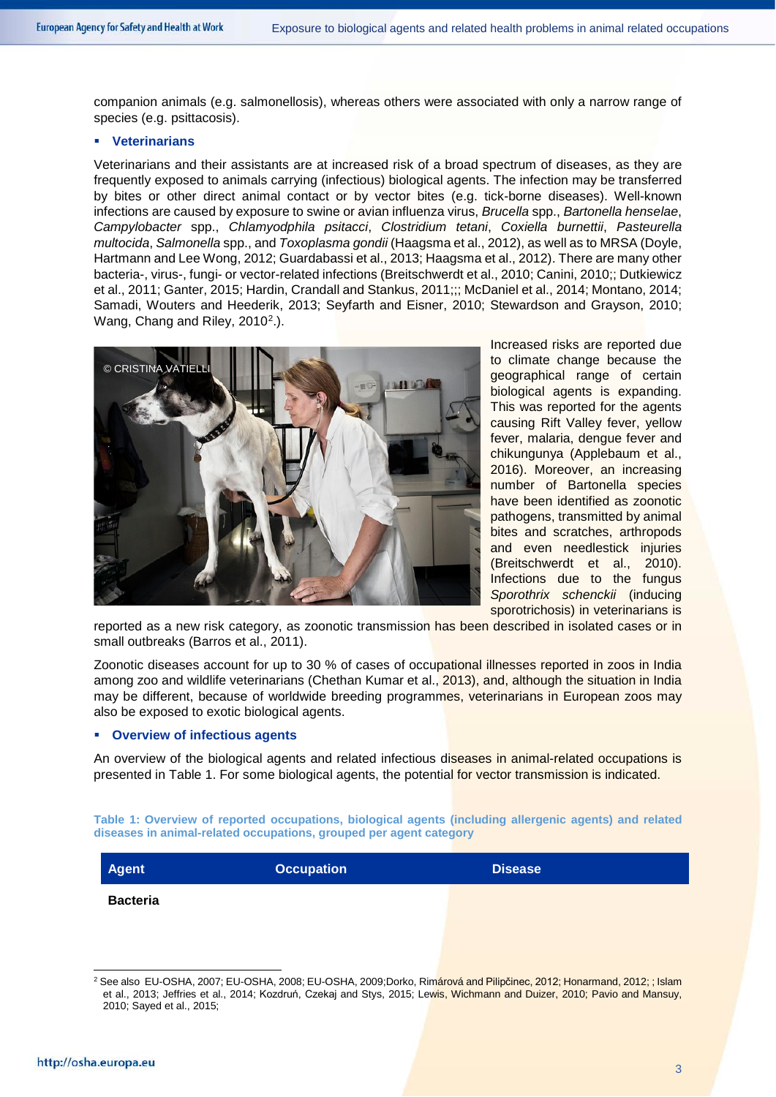companion animals (e.g. salmonellosis), whereas others were associated with only a narrow range of species (e.g. psittacosis).

### **Veterinarians**

Veterinarians and their assistants are at increased risk of a broad spectrum of diseases, as they are frequently exposed to animals carrying (infectious) biological agents. The infection may be transferred by bites or other direct animal contact or by vector bites (e.g. tick-borne diseases). Well-known infections are caused by exposure to swine or avian influenza virus, *Brucella* spp., *Bartonella henselae*, *Campylobacter* spp., *Chlamyodphila psitacci*, *Clostridium tetani*, *Coxiella burnettii*, *Pasteurella multocida*, *Salmonella* spp., and *Toxoplasma gondii* (Haagsma et al., 2012), as well as to MRSA (Doyle, Hartmann and Lee Wong, 2012; Guardabassi et al., 2013; Haagsma et al., 2012). There are many other bacteria-, virus-, fungi- or vector-related infections (Breitschwerdt et al., 2010; Canini, 2010;; Dutkiewicz et al., 2011; Ganter, 2015; Hardin, Crandall and Stankus, 2011;;; McDaniel et al., 2014; Montano, 2014; Samadi, Wouters and Heederik, 2013; Seyfarth and Eisner, 2010; Stewardson and Grayson, 2010; Wang, Chang and Riley, 2010<sup>2</sup>.).



Increased risks are reported due to climate change because the geographical range of certain biological agents is expanding. This was reported for the agents causing Rift Valley fever, yellow fever, malaria, dengue fever and chikungunya (Applebaum et al., 2016). Moreover, an increasing number of Bartonella species have been identified as zoonotic pathogens, transmitted by animal bites and scratches, arthropods and even needlestick injuries (Breitschwerdt et al., 2010). Infections due to the fungus *Sporothrix schenckii* (inducing sporotrichosis) in veterinarians is

reported as a new risk category, as zoonotic transmission has been described in isolated cases or in small outbreaks (Barros et al., 2011).

Zoonotic diseases account for up to 30 % of cases of occupational illnesses reported in zoos in India among zoo and wildlife veterinarians (Chethan Kumar et al., 2013), and, although the situation in India may be different, because of worldwide breeding programmes, veterinarians in European zoos may also be exposed to exotic biological agents.

### **Overview of infectious agents**

An overview of the biological agents and related infectious diseases in animal-related occupations is presented in [Table 1.](#page-2-0) For some biological agents, the potential for vector transmission is indicated.

<span id="page-2-0"></span>**Table 1: Overview of reported occupations, biological agents (including allergenic agents) and related diseases in animal-related occupations, grouped per agent category**

| Agent | <b>Occupation</b> | <b>Disease</b> |
|-------|-------------------|----------------|
|       |                   |                |

**Bacteria**

<span id="page-2-1"></span><sup>&</sup>lt;sup>2</sup> See also EU-OSHA, 2007; EU-OSHA, 2008; EU-OSHA, 2009;Dorko, Rimárová and Pilipčinec, 2012; Honarmand, 2012; ; Islam et al., 2013; Jeffries et al., 2014; Kozdruń, Czekaj and Stys, 2015; Lewis, Wichmann and Duizer, 2010; Pavio and Mansuy, 2010; Sayed et al., 2015;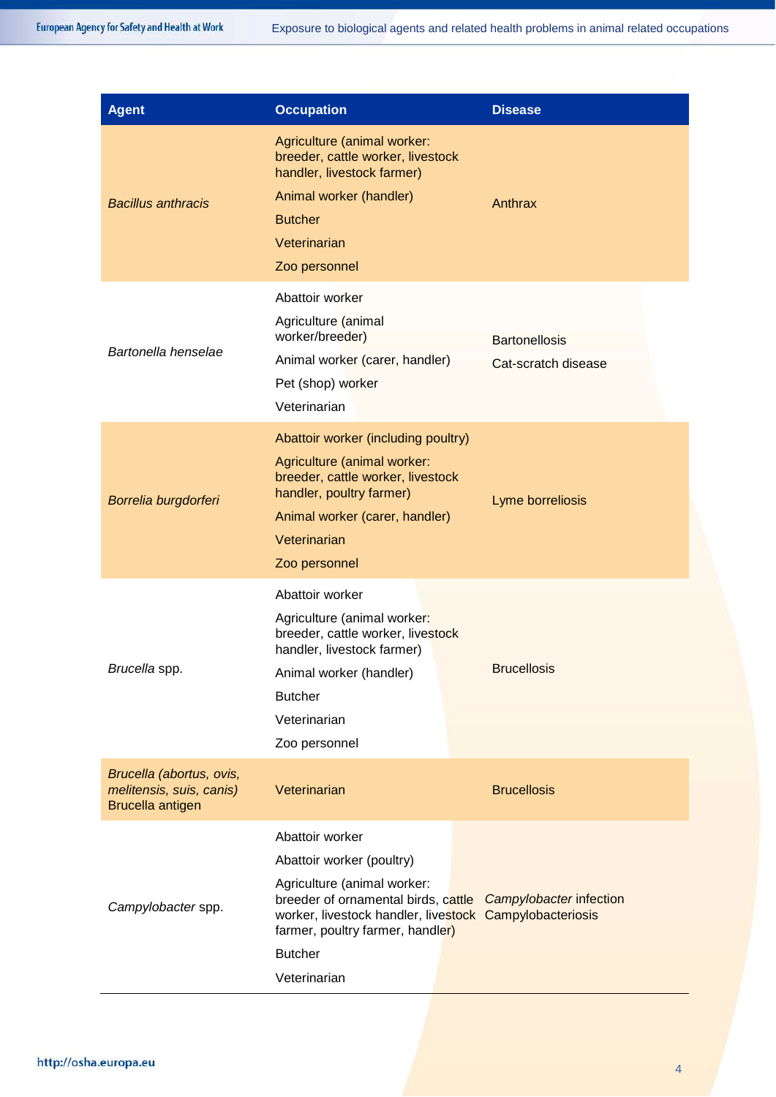| <b>Agent</b>                                                             | <b>Occupation</b>                                                                                                                                                                                                                                   | <b>Disease</b>                              |  |
|--------------------------------------------------------------------------|-----------------------------------------------------------------------------------------------------------------------------------------------------------------------------------------------------------------------------------------------------|---------------------------------------------|--|
| <b>Bacillus anthracis</b>                                                | Agriculture (animal worker:<br>breeder, cattle worker, livestock<br>handler, livestock farmer)<br>Animal worker (handler)<br><b>Butcher</b><br>Veterinarian<br>Zoo personnel                                                                        | Anthrax                                     |  |
| Bartonella henselae                                                      | Abattoir worker<br>Agriculture (animal<br>worker/breeder)<br>Animal worker (carer, handler)<br>Pet (shop) worker<br>Veterinarian                                                                                                                    | <b>Bartonellosis</b><br>Cat-scratch disease |  |
| Borrelia burgdorferi                                                     | Abattoir worker (including poultry)<br>Agriculture (animal worker:<br>breeder, cattle worker, livestock<br>handler, poultry farmer)<br>Animal worker (carer, handler)<br>Veterinarian<br>Zoo personnel                                              | Lyme borreliosis                            |  |
| Brucella spp.                                                            | Abattoir worker<br>Agriculture (animal worker:<br>breeder, cattle worker, livestock<br>handler, livestock farmer)<br>Animal worker (handler)<br><b>Butcher</b><br>Veterinarian<br>Zoo personnel                                                     | <b>Brucellosis</b>                          |  |
| Brucella (abortus, ovis,<br>melitensis, suis, canis)<br>Brucella antigen | Veterinarian                                                                                                                                                                                                                                        | <b>Brucellosis</b>                          |  |
| Campylobacter spp.                                                       | Abattoir worker<br>Abattoir worker (poultry)<br>Agriculture (animal worker:<br>breeder of ornamental birds, cattle<br>worker, livestock handler, livestock Campylobacteriosis<br>farmer, poultry farmer, handler)<br><b>Butcher</b><br>Veterinarian | Campylobacter infection                     |  |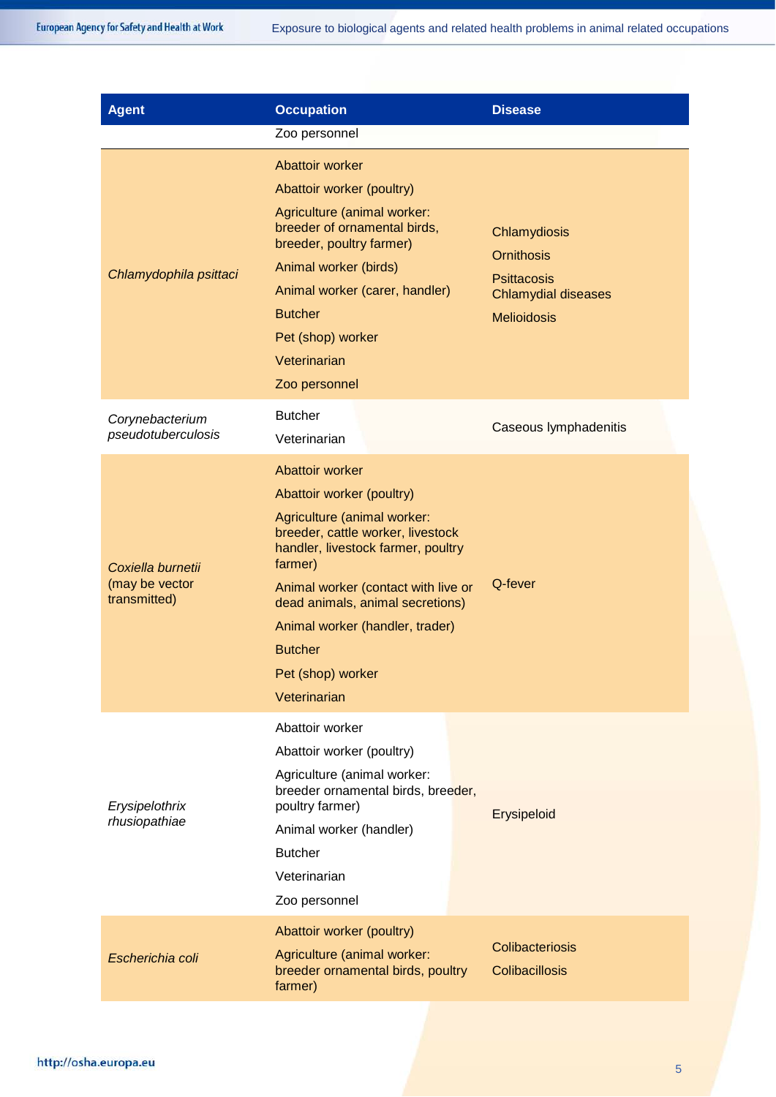| <b>Agent</b>                                        | <b>Occupation</b>                                                                                                                                                                                                                                                                                                                      | <b>Disease</b>                                                                                              |
|-----------------------------------------------------|----------------------------------------------------------------------------------------------------------------------------------------------------------------------------------------------------------------------------------------------------------------------------------------------------------------------------------------|-------------------------------------------------------------------------------------------------------------|
|                                                     | Zoo personnel                                                                                                                                                                                                                                                                                                                          |                                                                                                             |
| Chlamydophila psittaci                              | Abattoir worker<br>Abattoir worker (poultry)<br>Agriculture (animal worker:<br>breeder of ornamental birds,<br>breeder, poultry farmer)<br>Animal worker (birds)<br>Animal worker (carer, handler)<br><b>Butcher</b><br>Pet (shop) worker<br>Veterinarian<br>Zoo personnel                                                             | Chlamydiosis<br><b>Ornithosis</b><br><b>Psittacosis</b><br><b>Chlamydial diseases</b><br><b>Melioidosis</b> |
| Corynebacterium<br>pseudotuberculosis               | <b>Butcher</b><br>Veterinarian                                                                                                                                                                                                                                                                                                         | Caseous lymphadenitis                                                                                       |
| Coxiella burnetii<br>(may be vector<br>transmitted) | Abattoir worker<br>Abattoir worker (poultry)<br>Agriculture (animal worker:<br>breeder, cattle worker, livestock<br>handler, livestock farmer, poultry<br>farmer)<br>Animal worker (contact with live or<br>dead animals, animal secretions)<br>Animal worker (handler, trader)<br><b>Butcher</b><br>Pet (shop) worker<br>Veterinarian | Q-fever                                                                                                     |
| Erysipelothrix<br>rhusiopathiae                     | Abattoir worker<br>Abattoir worker (poultry)<br>Agriculture (animal worker:<br>breeder ornamental birds, breeder,<br>poultry farmer)<br>Animal worker (handler)<br><b>Butcher</b><br>Veterinarian<br>Zoo personnel                                                                                                                     | Erysipeloid                                                                                                 |
| Escherichia coli                                    | Abattoir worker (poultry)<br>Agriculture (animal worker:<br>breeder ornamental birds, poultry<br>farmer)                                                                                                                                                                                                                               | Colibacteriosis<br><b>Colibacillosis</b>                                                                    |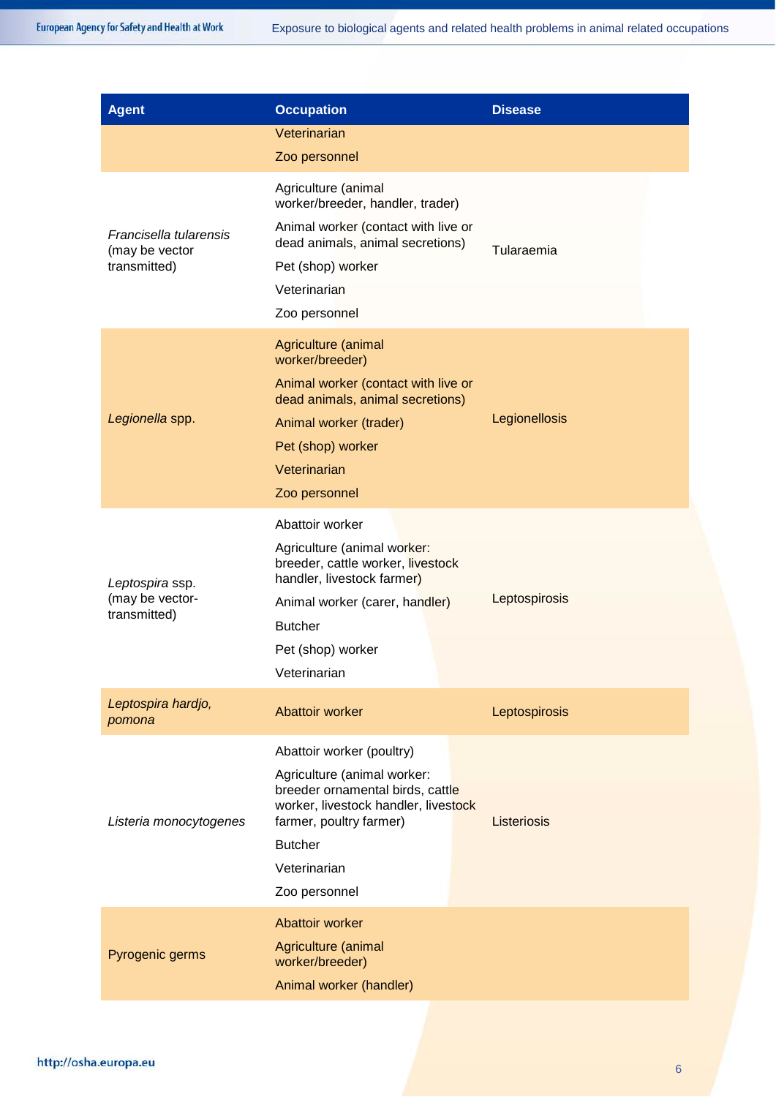| <b>Agent</b>                                             | <b>Occupation</b>                                                                                                                                                                                                  | <b>Disease</b> |
|----------------------------------------------------------|--------------------------------------------------------------------------------------------------------------------------------------------------------------------------------------------------------------------|----------------|
|                                                          | Veterinarian                                                                                                                                                                                                       |                |
|                                                          | Zoo personnel                                                                                                                                                                                                      |                |
| Francisella tularensis<br>(may be vector<br>transmitted) | Agriculture (animal<br>worker/breeder, handler, trader)<br>Animal worker (contact with live or<br>dead animals, animal secretions)<br>Pet (shop) worker<br>Veterinarian<br>Zoo personnel                           | Tularaemia     |
| Legionella spp.                                          | Agriculture (animal<br>worker/breeder)<br>Animal worker (contact with live or<br>dead animals, animal secretions)<br>Animal worker (trader)<br>Pet (shop) worker<br>Veterinarian<br>Zoo personnel                  | Legionellosis  |
| Leptospira ssp.<br>(may be vector-<br>transmitted)       | Abattoir worker<br>Agriculture (animal worker:<br>breeder, cattle worker, livestock<br>handler, livestock farmer)<br>Animal worker (carer, handler)<br><b>Butcher</b><br>Pet (shop) worker<br>Veterinarian         | Leptospirosis  |
| Leptospira hardjo,<br>pomona                             | Abattoir worker                                                                                                                                                                                                    | Leptospirosis  |
| Listeria monocytogenes                                   | Abattoir worker (poultry)<br>Agriculture (animal worker:<br>breeder ornamental birds, cattle<br>worker, livestock handler, livestock<br>farmer, poultry farmer)<br><b>Butcher</b><br>Veterinarian<br>Zoo personnel | Listeriosis    |
| Pyrogenic germs                                          | Abattoir worker<br>Agriculture (animal<br>worker/breeder)<br>Animal worker (handler)                                                                                                                               |                |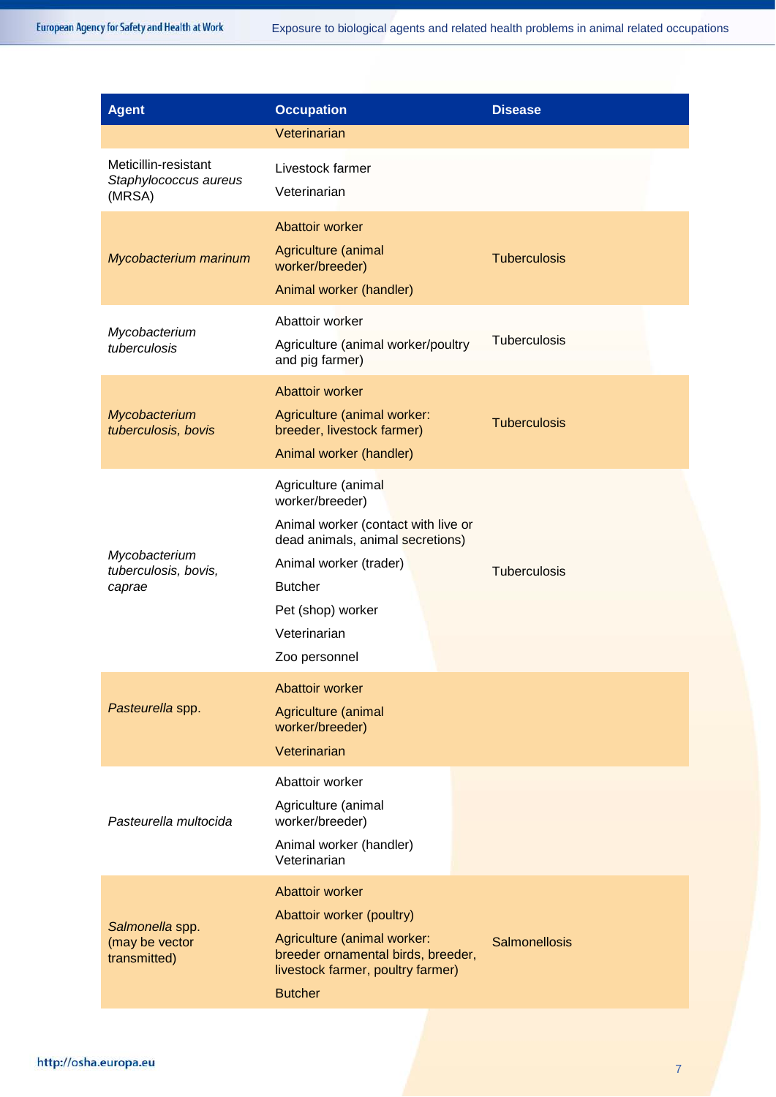| <b>Agent</b>                                            | <b>Occupation</b>                                                                                                                                                                                                   | <b>Disease</b>       |
|---------------------------------------------------------|---------------------------------------------------------------------------------------------------------------------------------------------------------------------------------------------------------------------|----------------------|
|                                                         | Veterinarian                                                                                                                                                                                                        |                      |
| Meticillin-resistant<br>Staphylococcus aureus<br>(MRSA) | Livestock farmer<br>Veterinarian                                                                                                                                                                                    |                      |
| Mycobacterium marinum                                   | Abattoir worker<br>Agriculture (animal<br>worker/breeder)<br>Animal worker (handler)                                                                                                                                | <b>Tuberculosis</b>  |
| Mycobacterium<br>tuberculosis                           | Abattoir worker<br>Agriculture (animal worker/poultry<br>and pig farmer)                                                                                                                                            | <b>Tuberculosis</b>  |
| Mycobacterium<br>tuberculosis, bovis                    | Abattoir worker<br>Agriculture (animal worker:<br>breeder, livestock farmer)<br>Animal worker (handler)                                                                                                             | <b>Tuberculosis</b>  |
| Mycobacterium<br>tuberculosis, bovis,<br>caprae         | Agriculture (animal<br>worker/breeder)<br>Animal worker (contact with live or<br>dead animals, animal secretions)<br>Animal worker (trader)<br><b>Butcher</b><br>Pet (shop) worker<br>Veterinarian<br>Zoo personnel | <b>Tuberculosis</b>  |
| Pasteurella spp.                                        | Abattoir worker<br>Agriculture (animal<br>worker/breeder)<br>Veterinarian                                                                                                                                           |                      |
| Pasteurella multocida                                   | Abattoir worker<br>Agriculture (animal<br>worker/breeder)<br>Animal worker (handler)<br>Veterinarian                                                                                                                |                      |
| Salmonella spp.<br>(may be vector<br>transmitted)       | Abattoir worker<br>Abattoir worker (poultry)<br>Agriculture (animal worker:<br>breeder ornamental birds, breeder,<br>livestock farmer, poultry farmer)<br><b>Butcher</b>                                            | <b>Salmonellosis</b> |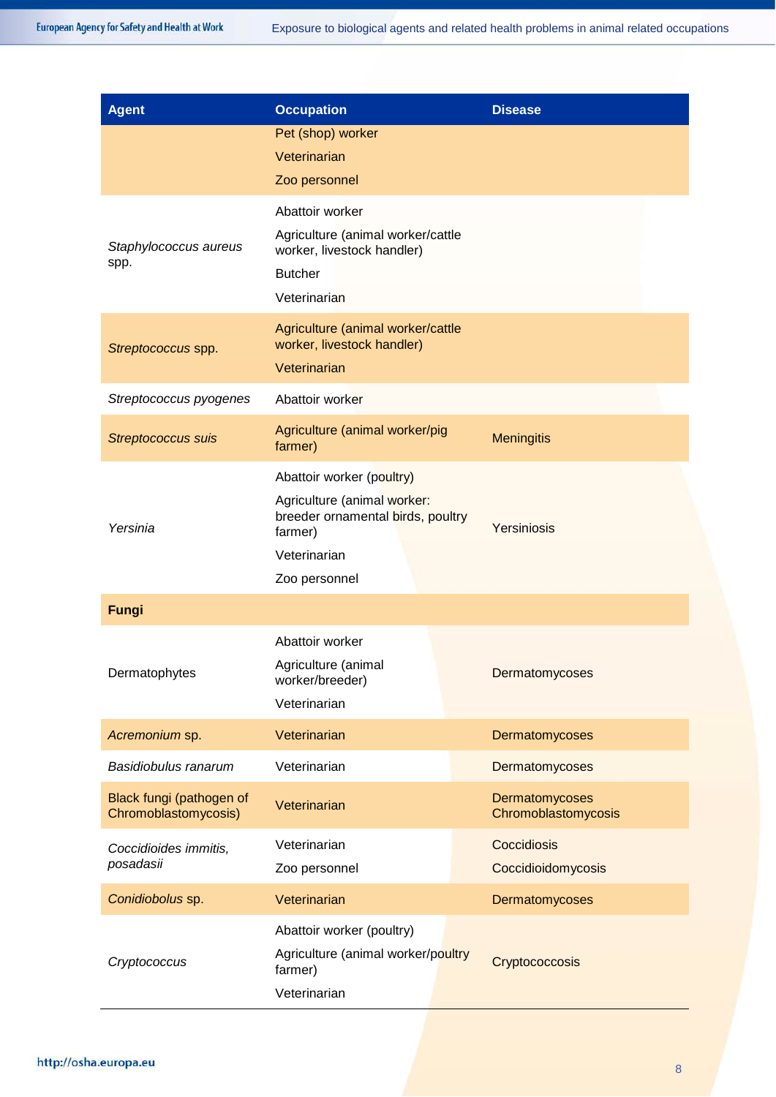| <b>Agent</b>              | <b>Occupation</b>                                               | <b>Disease</b>      |
|---------------------------|-----------------------------------------------------------------|---------------------|
|                           | Pet (shop) worker                                               |                     |
|                           | Veterinarian                                                    |                     |
|                           | Zoo personnel                                                   |                     |
|                           | Abattoir worker                                                 |                     |
| Staphylococcus aureus     | Agriculture (animal worker/cattle                               |                     |
| spp.                      | worker, livestock handler)<br><b>Butcher</b>                    |                     |
|                           | Veterinarian                                                    |                     |
|                           |                                                                 |                     |
| Streptococcus spp.        | Agriculture (animal worker/cattle<br>worker, livestock handler) |                     |
|                           | Veterinarian                                                    |                     |
| Streptococcus pyogenes    | Abattoir worker                                                 |                     |
| <b>Streptococcus suis</b> | Agriculture (animal worker/pig                                  | <b>Meningitis</b>   |
|                           | farmer)                                                         |                     |
|                           | Abattoir worker (poultry)                                       |                     |
|                           | Agriculture (animal worker:                                     |                     |
| Yersinia                  | breeder ornamental birds, poultry<br>farmer)                    | Yersiniosis         |
|                           | Veterinarian                                                    |                     |
|                           | Zoo personnel                                                   |                     |
| Fungi                     |                                                                 |                     |
|                           | Abattoir worker                                                 |                     |
| Dermatophytes             | Agriculture (animal                                             |                     |
|                           | worker/breeder)                                                 | Dermatomycoses      |
|                           | Veterinarian                                                    |                     |
| Acremonium sp.            | Veterinarian                                                    | Dermatomycoses      |
| Basidiobulus ranarum      | Veterinarian                                                    | Dermatomycoses      |
| Black fungi (pathogen of  | Veterinarian                                                    | Dermatomycoses      |
| Chromoblastomycosis)      |                                                                 | Chromoblastomycosis |
| Coccidioides immitis,     | Veterinarian                                                    | Coccidiosis         |
| posadasii                 | Zoo personnel                                                   | Coccidioidomycosis  |
| Conidiobolus sp.          | Veterinarian                                                    | Dermatomycoses      |
|                           | Abattoir worker (poultry)                                       |                     |
| Cryptococcus              | Agriculture (animal worker/poultry<br>farmer)                   | Cryptococcosis      |
|                           | Veterinarian                                                    |                     |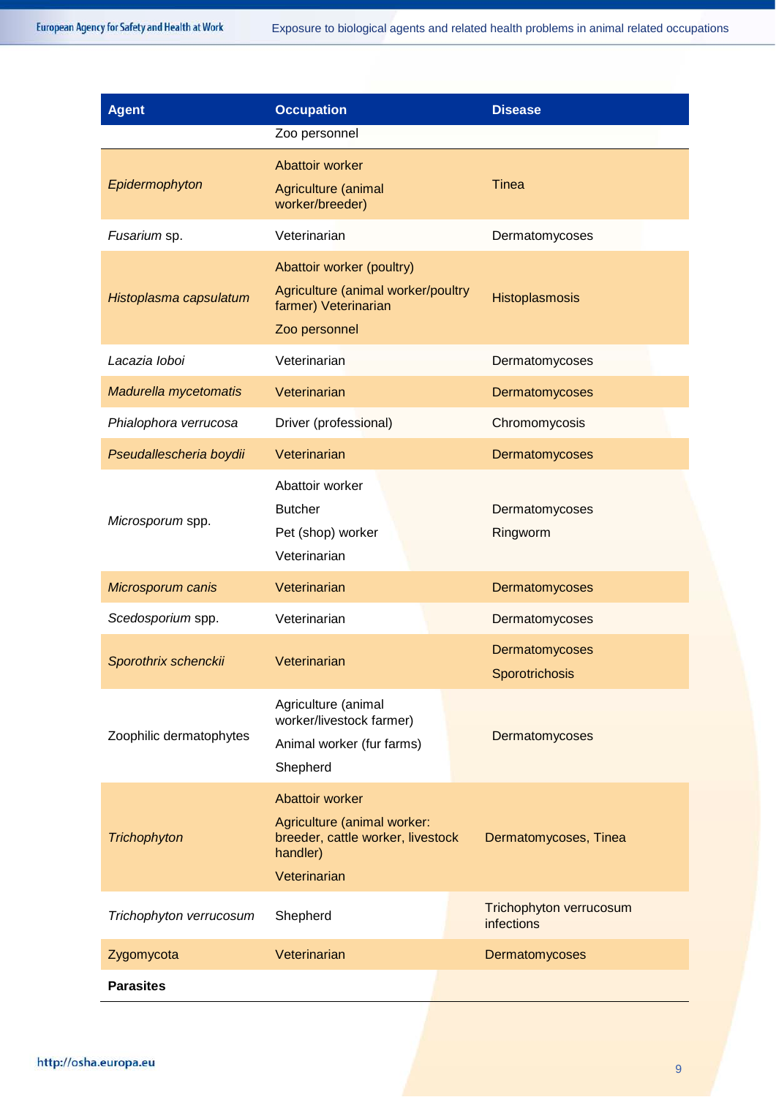| <b>Agent</b>            | <b>Occupation</b><br>Zoo personnel                                                                              | <b>Disease</b>                               |
|-------------------------|-----------------------------------------------------------------------------------------------------------------|----------------------------------------------|
| Epidermophyton          | Abattoir worker<br>Agriculture (animal<br>worker/breeder)                                                       | <b>Tinea</b>                                 |
| Fusarium sp.            | Veterinarian                                                                                                    | Dermatomycoses                               |
| Histoplasma capsulatum  | Abattoir worker (poultry)<br>Agriculture (animal worker/poultry<br>farmer) Veterinarian<br>Zoo personnel        | Histoplasmosis                               |
| Lacazia loboi           | Veterinarian                                                                                                    | Dermatomycoses                               |
| Madurella mycetomatis   | Veterinarian                                                                                                    | Dermatomycoses                               |
| Phialophora verrucosa   | Driver (professional)                                                                                           | Chromomycosis                                |
| Pseudallescheria boydii | Veterinarian                                                                                                    | Dermatomycoses                               |
| Microsporum spp.        | Abattoir worker<br><b>Butcher</b><br>Pet (shop) worker<br>Veterinarian                                          | Dermatomycoses<br>Ringworm                   |
| Microsporum canis       | Veterinarian                                                                                                    | Dermatomycoses                               |
| Scedosporium spp.       | Veterinarian                                                                                                    | Dermatomycoses                               |
| Sporothrix schenckii    | Veterinarian                                                                                                    | Dermatomycoses<br>Sporotrichosis             |
| Zoophilic dermatophytes | Agriculture (animal<br>worker/livestock farmer)<br>Animal worker (fur farms)<br>Shepherd                        | Dermatomycoses                               |
| Trichophyton            | Abattoir worker<br>Agriculture (animal worker:<br>breeder, cattle worker, livestock<br>handler)<br>Veterinarian | Dermatomycoses, Tinea                        |
| Trichophyton verrucosum | Shepherd                                                                                                        | Trichophyton verrucosum<br><b>infections</b> |
| Zygomycota              | Veterinarian                                                                                                    | Dermatomycoses                               |
| <b>Parasites</b>        |                                                                                                                 |                                              |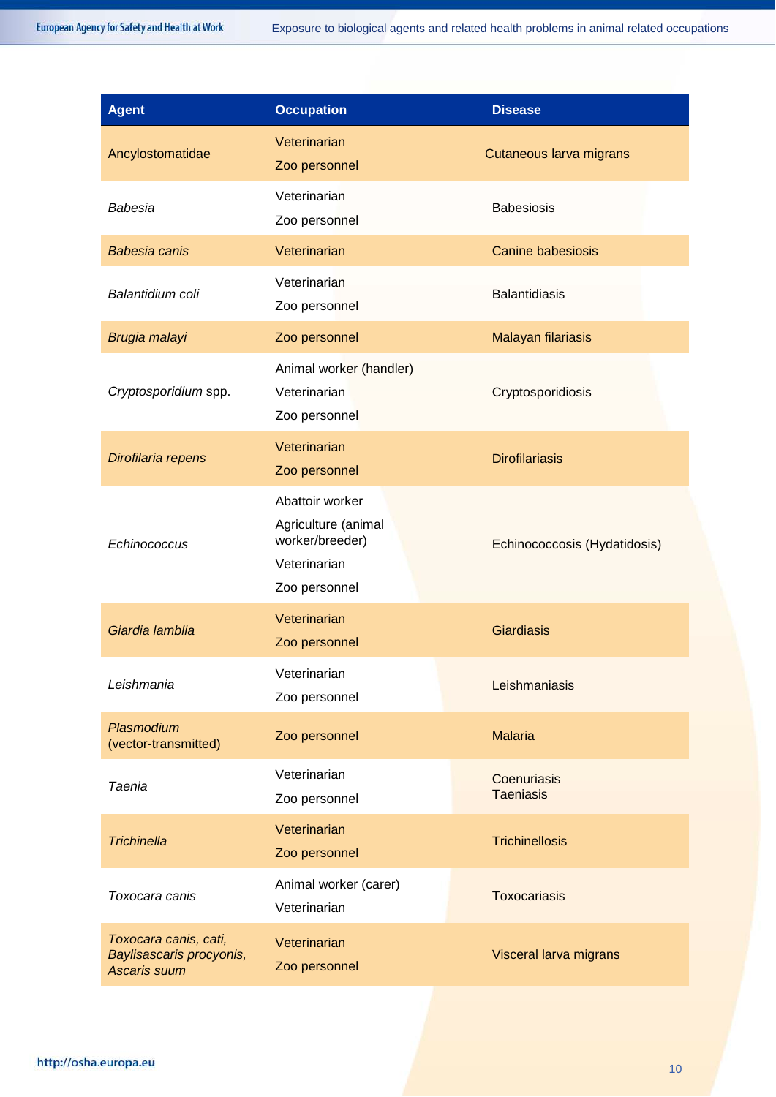| Agent                                                                    | <b>Occupation</b>                                                                          | <b>Disease</b>                  |
|--------------------------------------------------------------------------|--------------------------------------------------------------------------------------------|---------------------------------|
| Ancylostomatidae                                                         | Veterinarian<br>Zoo personnel                                                              | Cutaneous larva migrans         |
| Babesia                                                                  | Veterinarian<br>Zoo personnel                                                              | <b>Babesiosis</b>               |
| <b>Babesia canis</b>                                                     | Veterinarian                                                                               | <b>Canine babesiosis</b>        |
| Balantidium coli                                                         | Veterinarian<br>Zoo personnel                                                              | <b>Balantidiasis</b>            |
| Brugia malayi                                                            | Zoo personnel                                                                              | <b>Malayan filariasis</b>       |
| Cryptosporidium spp.                                                     | Animal worker (handler)<br>Veterinarian<br>Zoo personnel                                   | Cryptosporidiosis               |
| Dirofilaria repens                                                       | Veterinarian<br>Zoo personnel                                                              | <b>Dirofilariasis</b>           |
| Echinococcus                                                             | Abattoir worker<br>Agriculture (animal<br>worker/breeder)<br>Veterinarian<br>Zoo personnel | Echinococcosis (Hydatidosis)    |
| Giardia lamblia                                                          | Veterinarian<br>Zoo personnel                                                              | <b>Giardiasis</b>               |
| Leishmania                                                               | Veterinarian<br>Zoo personnel                                                              | Leishmaniasis                   |
| Plasmodium<br>(vector-transmitted)                                       | Zoo personnel                                                                              | <b>Malaria</b>                  |
| <b>Taenia</b>                                                            | Veterinarian<br>Zoo personnel                                                              | Coenuriasis<br><b>Taeniasis</b> |
| <b>Trichinella</b>                                                       | Veterinarian<br>Zoo personnel                                                              | <b>Trichinellosis</b>           |
| Toxocara canis                                                           | Animal worker (carer)<br>Veterinarian                                                      | <b>Toxocariasis</b>             |
| Toxocara canis, cati,<br>Baylisascaris procyonis,<br><b>Ascaris suum</b> | Veterinarian<br>Zoo personnel                                                              | Visceral larva migrans          |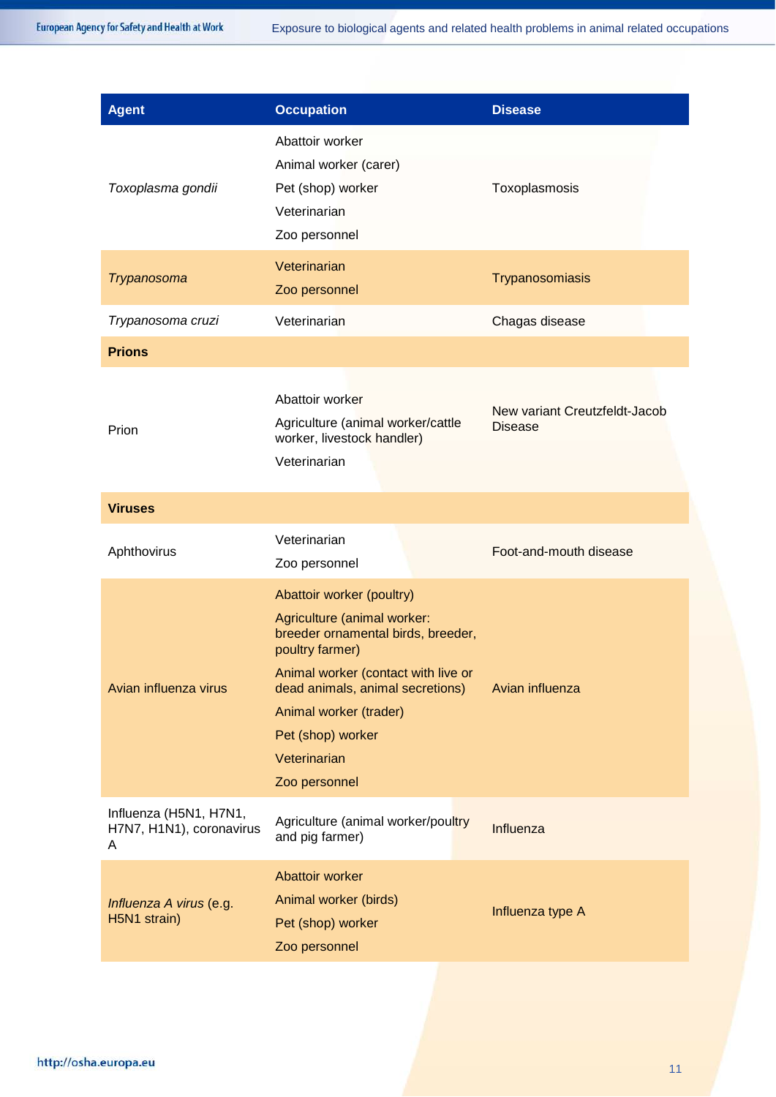| <b>Agent</b>                                            | <b>Occupation</b>                                                                                                                                                                                                                                                            | <b>Disease</b>                                  |
|---------------------------------------------------------|------------------------------------------------------------------------------------------------------------------------------------------------------------------------------------------------------------------------------------------------------------------------------|-------------------------------------------------|
| Toxoplasma gondii                                       | Abattoir worker<br>Animal worker (carer)<br>Pet (shop) worker<br>Veterinarian<br>Zoo personnel                                                                                                                                                                               | Toxoplasmosis                                   |
| <b>Trypanosoma</b>                                      | Veterinarian<br>Zoo personnel                                                                                                                                                                                                                                                | Trypanosomiasis                                 |
| Trypanosoma cruzi                                       | Veterinarian                                                                                                                                                                                                                                                                 | Chagas disease                                  |
| <b>Prions</b>                                           |                                                                                                                                                                                                                                                                              |                                                 |
| Prion                                                   | Abattoir worker<br>Agriculture (animal worker/cattle<br>worker, livestock handler)<br>Veterinarian                                                                                                                                                                           | New variant Creutzfeldt-Jacob<br><b>Disease</b> |
| <b>Viruses</b>                                          |                                                                                                                                                                                                                                                                              |                                                 |
| Aphthovirus                                             | Veterinarian<br>Zoo personnel                                                                                                                                                                                                                                                | Foot-and-mouth disease                          |
| Avian influenza virus                                   | Abattoir worker (poultry)<br>Agriculture (animal worker:<br>breeder ornamental birds, breeder,<br>poultry farmer)<br>Animal worker (contact with live or<br>dead animals, animal secretions)<br>Animal worker (trader)<br>Pet (shop) worker<br>Veterinarian<br>Zoo personnel | Avian influenza                                 |
| Influenza (H5N1, H7N1,<br>H7N7, H1N1), coronavirus<br>A | Agriculture (animal worker/poultry<br>and pig farmer)                                                                                                                                                                                                                        | Influenza                                       |
| Influenza A virus (e.g.<br>H5N1 strain)                 | Abattoir worker<br>Animal worker (birds)<br>Pet (shop) worker<br>Zoo personnel                                                                                                                                                                                               | Influenza type A                                |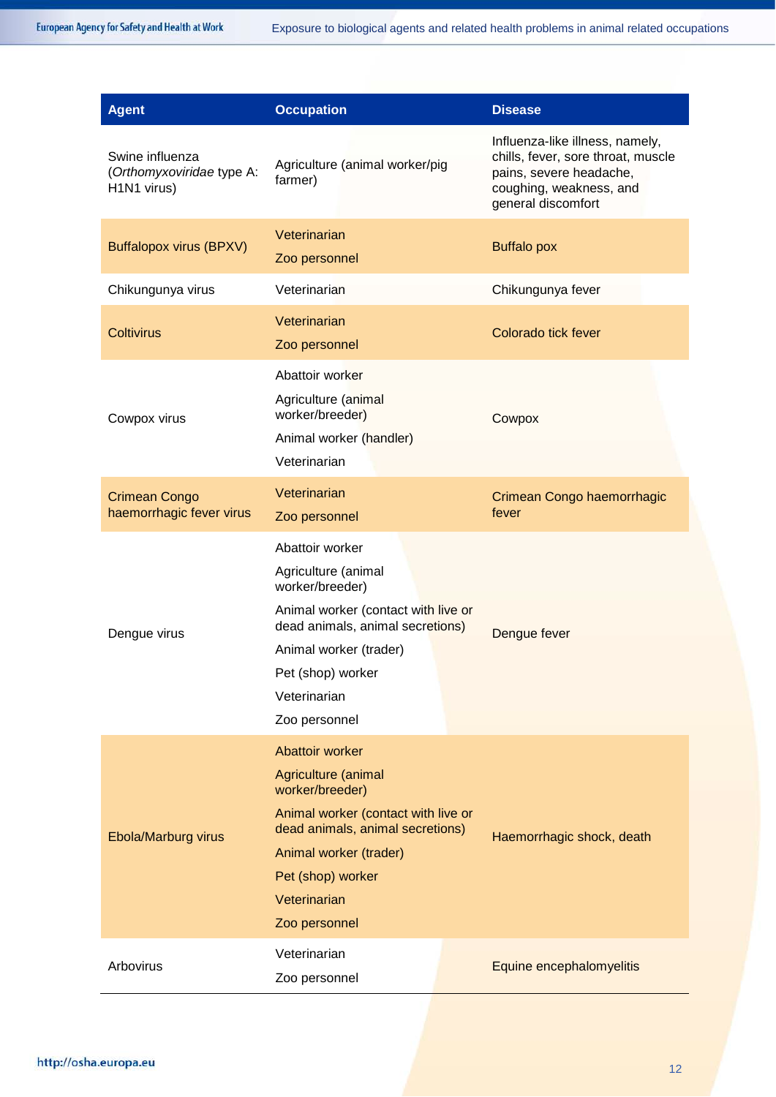| <b>Agent</b>                                                | <b>Occupation</b>                                                                                                                                                                                                    | <b>Disease</b>                                                                                                                                    |
|-------------------------------------------------------------|----------------------------------------------------------------------------------------------------------------------------------------------------------------------------------------------------------------------|---------------------------------------------------------------------------------------------------------------------------------------------------|
| Swine influenza<br>(Orthomyxoviridae type A:<br>H1N1 virus) | Agriculture (animal worker/pig<br>farmer)                                                                                                                                                                            | Influenza-like illness, namely,<br>chills, fever, sore throat, muscle<br>pains, severe headache,<br>coughing, weakness, and<br>general discomfort |
| <b>Buffalopox virus (BPXV)</b>                              | Veterinarian<br>Zoo personnel                                                                                                                                                                                        | <b>Buffalo pox</b>                                                                                                                                |
| Chikungunya virus                                           | Veterinarian                                                                                                                                                                                                         | Chikungunya fever                                                                                                                                 |
| <b>Coltivirus</b>                                           | Veterinarian<br>Zoo personnel                                                                                                                                                                                        | Colorado tick fever                                                                                                                               |
| Cowpox virus                                                | Abattoir worker<br>Agriculture (animal<br>worker/breeder)<br>Animal worker (handler)<br>Veterinarian                                                                                                                 | Cowpox                                                                                                                                            |
| <b>Crimean Congo</b><br>haemorrhagic fever virus            | Veterinarian<br>Zoo personnel                                                                                                                                                                                        | Crimean Congo haemorrhagic<br>fever                                                                                                               |
| Dengue virus                                                | Abattoir worker<br>Agriculture (animal<br>worker/breeder)<br>Animal worker (contact with live or<br>dead animals, animal secretions)<br>Animal worker (trader)<br>Pet (shop) worker<br>Veterinarian<br>Zoo personnel | Dengue fever                                                                                                                                      |
| Ebola/Marburg virus                                         | Abattoir worker<br>Agriculture (animal<br>worker/breeder)<br>Animal worker (contact with live or<br>dead animals, animal secretions)<br>Animal worker (trader)<br>Pet (shop) worker<br>Veterinarian<br>Zoo personnel | Haemorrhagic shock, death                                                                                                                         |
| Arbovirus                                                   | Veterinarian<br>Zoo personnel                                                                                                                                                                                        | Equine encephalomyelitis                                                                                                                          |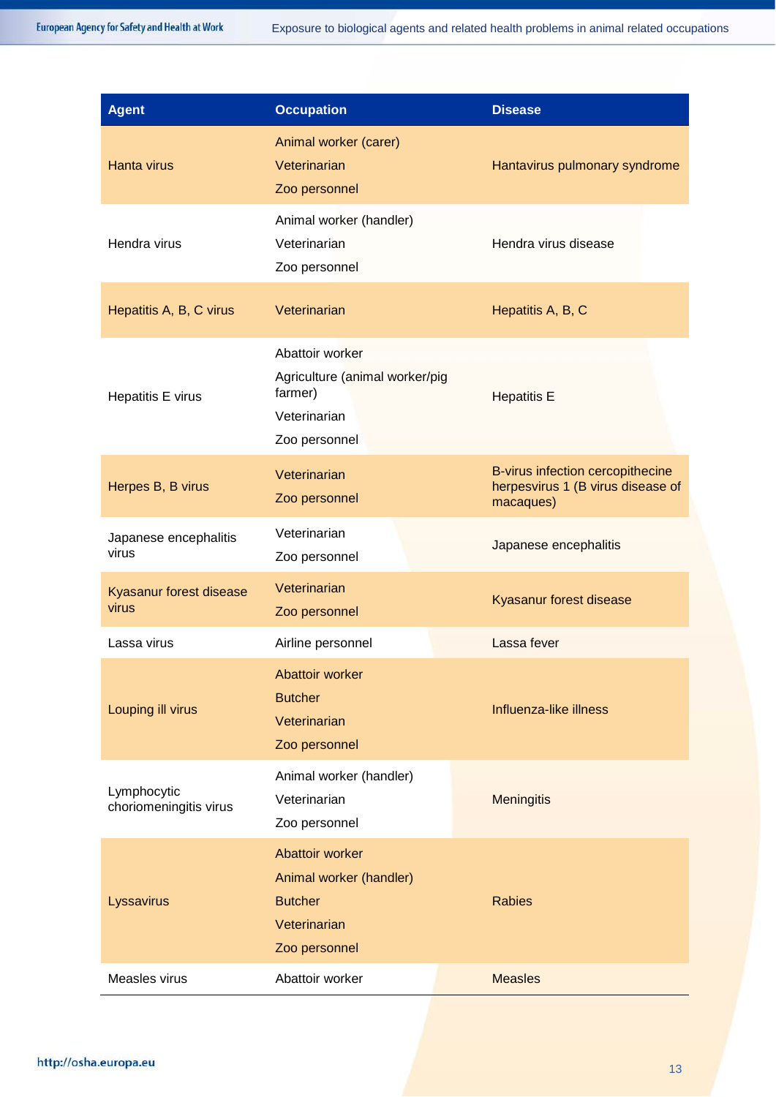| <b>Agent</b>                          | <b>Occupation</b>                                                                             | <b>Disease</b>                                                                     |
|---------------------------------------|-----------------------------------------------------------------------------------------------|------------------------------------------------------------------------------------|
| Hanta virus                           | Animal worker (carer)<br>Veterinarian<br>Zoo personnel                                        | Hantavirus pulmonary syndrome                                                      |
| Hendra virus                          | Animal worker (handler)<br>Veterinarian<br>Zoo personnel                                      | Hendra virus disease                                                               |
| Hepatitis A, B, C virus               | Veterinarian                                                                                  | Hepatitis A, B, C                                                                  |
| Hepatitis E virus                     | Abattoir worker<br>Agriculture (animal worker/pig<br>farmer)<br>Veterinarian<br>Zoo personnel | <b>Hepatitis E</b>                                                                 |
| Herpes B, B virus                     | Veterinarian<br>Zoo personnel                                                                 | B-virus infection cercopithecine<br>herpesvirus 1 (B virus disease of<br>macaques) |
| Japanese encephalitis<br>virus        | Veterinarian<br>Zoo personnel                                                                 | Japanese encephalitis                                                              |
| Kyasanur forest disease<br>virus      | Veterinarian<br>Zoo personnel                                                                 | Kyasanur forest disease                                                            |
| Lassa virus                           | Airline personnel                                                                             | Lassa fever                                                                        |
| Louping ill virus                     | Abattoir worker<br><b>Butcher</b><br>Veterinarian<br>Zoo personnel                            | Influenza-like illness                                                             |
| Lymphocytic<br>choriomeningitis virus | Animal worker (handler)<br>Veterinarian<br>Zoo personnel                                      | <b>Meningitis</b>                                                                  |
| Lyssavirus                            | Abattoir worker<br>Animal worker (handler)<br><b>Butcher</b><br>Veterinarian<br>Zoo personnel | <b>Rabies</b>                                                                      |
| Measles virus                         | Abattoir worker                                                                               | <b>Measles</b>                                                                     |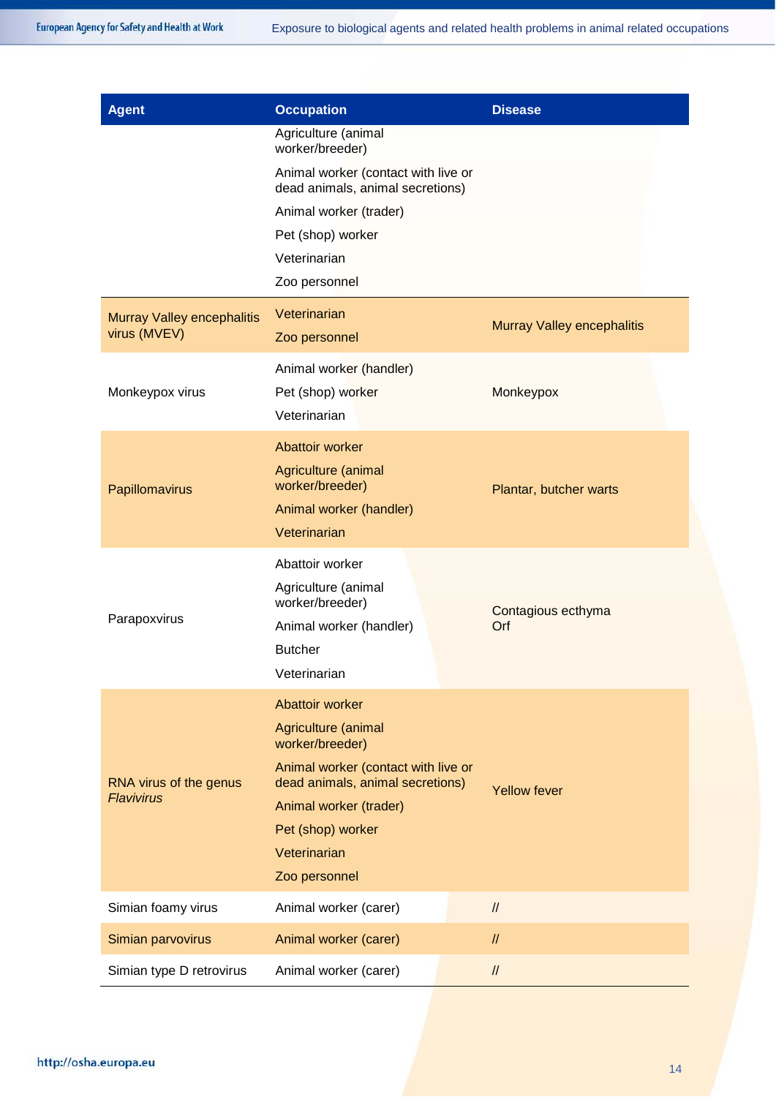| <b>Agent</b>                                      | <b>Occupation</b>                                                                                                                                                                                                    | <b>Disease</b>                    |
|---------------------------------------------------|----------------------------------------------------------------------------------------------------------------------------------------------------------------------------------------------------------------------|-----------------------------------|
|                                                   | Agriculture (animal<br>worker/breeder)                                                                                                                                                                               |                                   |
|                                                   | Animal worker (contact with live or<br>dead animals, animal secretions)                                                                                                                                              |                                   |
|                                                   | Animal worker (trader)                                                                                                                                                                                               |                                   |
|                                                   | Pet (shop) worker                                                                                                                                                                                                    |                                   |
|                                                   | Veterinarian                                                                                                                                                                                                         |                                   |
|                                                   | Zoo personnel                                                                                                                                                                                                        |                                   |
| <b>Murray Valley encephalitis</b><br>virus (MVEV) | Veterinarian<br>Zoo personnel                                                                                                                                                                                        | <b>Murray Valley encephalitis</b> |
| Monkeypox virus                                   | Animal worker (handler)<br>Pet (shop) worker<br>Veterinarian                                                                                                                                                         | Monkeypox                         |
| Papillomavirus                                    | Abattoir worker<br>Agriculture (animal<br>worker/breeder)<br>Animal worker (handler)<br>Veterinarian                                                                                                                 | Plantar, butcher warts            |
| Parapoxvirus                                      | Abattoir worker<br>Agriculture (animal<br>worker/breeder)<br>Animal worker (handler)<br><b>Butcher</b><br>Veterinarian                                                                                               | Contagious ecthyma<br>Orf         |
| RNA virus of the genus<br><b>Flavivirus</b>       | Abattoir worker<br>Agriculture (animal<br>worker/breeder)<br>Animal worker (contact with live or<br>dead animals, animal secretions)<br>Animal worker (trader)<br>Pet (shop) worker<br>Veterinarian<br>Zoo personnel | <b>Yellow fever</b>               |
| Simian foamy virus                                | Animal worker (carer)                                                                                                                                                                                                | $\ensuremath{\mathnormal{/\!/}}$  |
| Simian parvovirus                                 | Animal worker (carer)                                                                                                                                                                                                | $\ensuremath{\mathit{II}}$        |
| Simian type D retrovirus                          | Animal worker (carer)                                                                                                                                                                                                | $\ensuremath{\mathnormal{/\!/}}$  |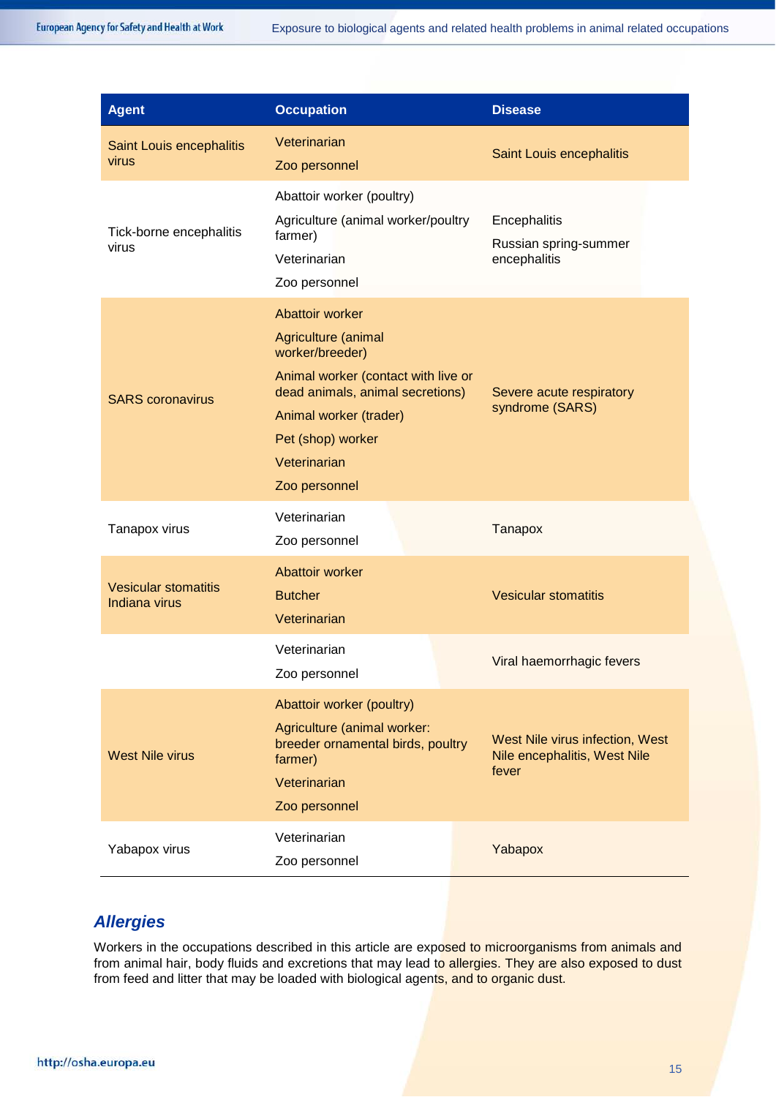| <b>Agent</b>                                        | <b>Occupation</b>                                                                                                                                                                                                    | <b>Disease</b>                                                           |
|-----------------------------------------------------|----------------------------------------------------------------------------------------------------------------------------------------------------------------------------------------------------------------------|--------------------------------------------------------------------------|
| Saint Louis encephalitis<br>virus                   | Veterinarian<br>Zoo personnel                                                                                                                                                                                        | Saint Louis encephalitis                                                 |
| Tick-borne encephalitis<br>virus                    | Abattoir worker (poultry)<br>Agriculture (animal worker/poultry<br>farmer)<br>Veterinarian<br>Zoo personnel                                                                                                          | Encephalitis<br>Russian spring-summer<br>encephalitis                    |
| <b>SARS</b> coronavirus                             | Abattoir worker<br>Agriculture (animal<br>worker/breeder)<br>Animal worker (contact with live or<br>dead animals, animal secretions)<br>Animal worker (trader)<br>Pet (shop) worker<br>Veterinarian<br>Zoo personnel | Severe acute respiratory<br>syndrome (SARS)                              |
| Tanapox virus                                       | Veterinarian<br>Zoo personnel                                                                                                                                                                                        | Tanapox                                                                  |
| <b>Vesicular stomatitis</b><br><b>Indiana virus</b> | Abattoir worker<br><b>Butcher</b><br>Veterinarian                                                                                                                                                                    | <b>Vesicular stomatitis</b>                                              |
|                                                     | Veterinarian<br>Zoo personnel                                                                                                                                                                                        | Viral haemorrhagic fevers                                                |
| <b>West Nile virus</b>                              | Abattoir worker (poultry)<br>Agriculture (animal worker:<br>breeder ornamental birds, poultry<br>farmer)<br>Veterinarian<br>Zoo personnel                                                                            | West Nile virus infection, West<br>Nile encephalitis, West Nile<br>fever |
| Yabapox virus                                       | Veterinarian<br>Zoo personnel                                                                                                                                                                                        | Yabapox                                                                  |

# *Allergies*

Workers in the occupations described in this article are exposed to microorganisms from animals and from animal hair, body fluids and excretions that may lead to allergies. They are also exposed to dust from feed and litter that may be loaded with biological agents, and to organic dust.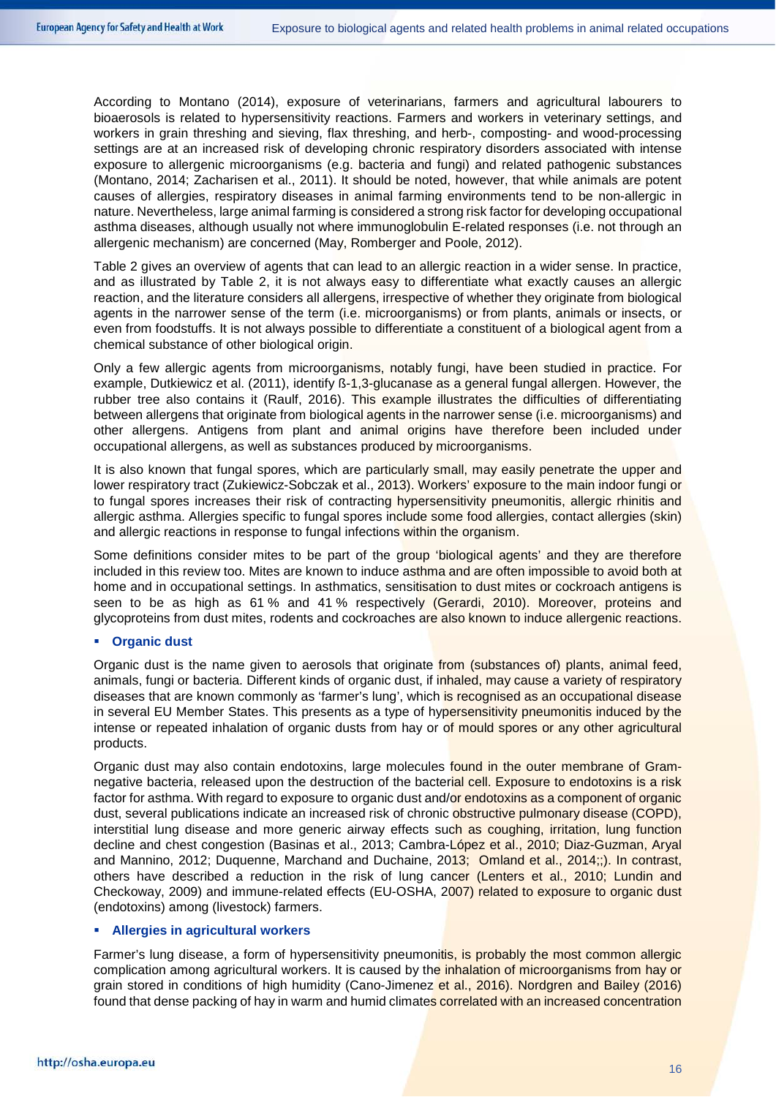According to Montano (2014), exposure of veterinarians, farmers and agricultural labourers to bioaerosols is related to hypersensitivity reactions. Farmers and workers in veterinary settings, and workers in grain threshing and sieving, flax threshing, and herb-, composting- and wood-processing settings are at an increased risk of developing chronic respiratory disorders associated with intense exposure to allergenic microorganisms (e.g. bacteria and fungi) and related pathogenic substances (Montano, 2014; Zacharisen et al., 2011). It should be noted, however, that while animals are potent causes of allergies, respiratory diseases in animal farming environments tend to be non-allergic in nature. Nevertheless, large animal farming is considered a strong risk factor for developing occupational asthma diseases, although usually not where immunoglobulin E-related responses (i.e. not through an allergenic mechanism) are concerned (May, Romberger and Poole, 2012).

[Table 2](#page-16-0) gives an overview of agents that can lead to an allergic reaction in a wider sense. In practice, and as illustrated by [Table 2,](#page-16-0) it is not always easy to differentiate what exactly causes an allergic reaction, and the literature considers all allergens, irrespective of whether they originate from biological agents in the narrower sense of the term (i.e. microorganisms) or from plants, animals or insects, or even from foodstuffs. It is not always possible to differentiate a constituent of a biological agent from a chemical substance of other biological origin.

Only a few allergic agents from microorganisms, notably fungi, have been studied in practice. For example, Dutkiewicz et al. (2011), identify ß-1,3-glucanase as a general fungal allergen. However, the rubber tree also contains it (Raulf, 2016). This example illustrates the difficulties of differentiating between allergens that originate from biological agents in the narrower sense (i.e. microorganisms) and other allergens. Antigens from plant and animal origins have therefore been included under occupational allergens, as well as substances produced by microorganisms.

It is also known that fungal spores, which are particularly small, may easily penetrate the upper and lower respiratory tract (Zukiewicz-Sobczak et al., 2013). Workers' exposure to the main indoor fungi or to fungal spores increases their risk of contracting hypersensitivity pneumonitis, allergic rhinitis and allergic asthma. Allergies specific to fungal spores include some food allergies, contact allergies (skin) and allergic reactions in response to fungal infections within the organism.

Some definitions consider mites to be part of the group 'biological agents' and they are therefore included in this review too. Mites are known to induce asthma and are often impossible to avoid both at home and in occupational settings. In asthmatics, sensitisation to dust mites or cockroach antigens is seen to be as high as 61 % and 41 % respectively (Gerardi, 2010). Moreover, proteins and glycoproteins from dust mites, rodents and cockroaches are also known to induce allergenic reactions.

#### **Organic dust**

Organic dust is the name given to aerosols that originate from (substances of) plants, animal feed, animals, fungi or bacteria. Different kinds of organic dust, if inhaled, may cause a variety of respiratory diseases that are known commonly as 'farmer's lung', which is recognised as an occupational disease in several EU Member States. This presents as a type of hypersensitivity pneumonitis induced by the intense or repeated inhalation of organic dusts from hay or of mould spores or any other agricultural products.

Organic dust may also contain endotoxins, large molecules found in the outer membrane of Gramnegative bacteria, released upon the destruction of the bacterial cell. Exposure to endotoxins is a risk factor for asthma. With regard to exposure to organic dust and/or endotoxins as a component of organic dust, several publications indicate an increased risk of chronic obstructive pulmonary disease (COPD), interstitial lung disease and more generic airway effects such as coughing, irritation, lung function decline and chest congestion (Basinas et al., 2013; Cambra-López et al., 2010; Diaz-Guzman, Aryal and Mannino, 2012; Duquenne, Marchand and Duchaine, 2013; Omland et al., 2014;;). In contrast, others have described a reduction in the risk of lung cancer (Lenters et al., 2010; Lundin and Checkoway, 2009) and immune-related effects (EU-OSHA, 2007) related to exposure to organic dust (endotoxins) among (livestock) farmers.

#### **Allergies in agricultural workers**

Farmer's lung disease, a form of hypersensitivity pneumonitis, is probably the most common allergic complication among agricultural workers. It is caused by the *inhalation of microorganisms from hay or* grain stored in conditions of high humidity (Cano-Jimenez et al., 2016). Nordgren and Bailey (2016) found that dense packing of hay in warm and humid climates correlated with an increased concentration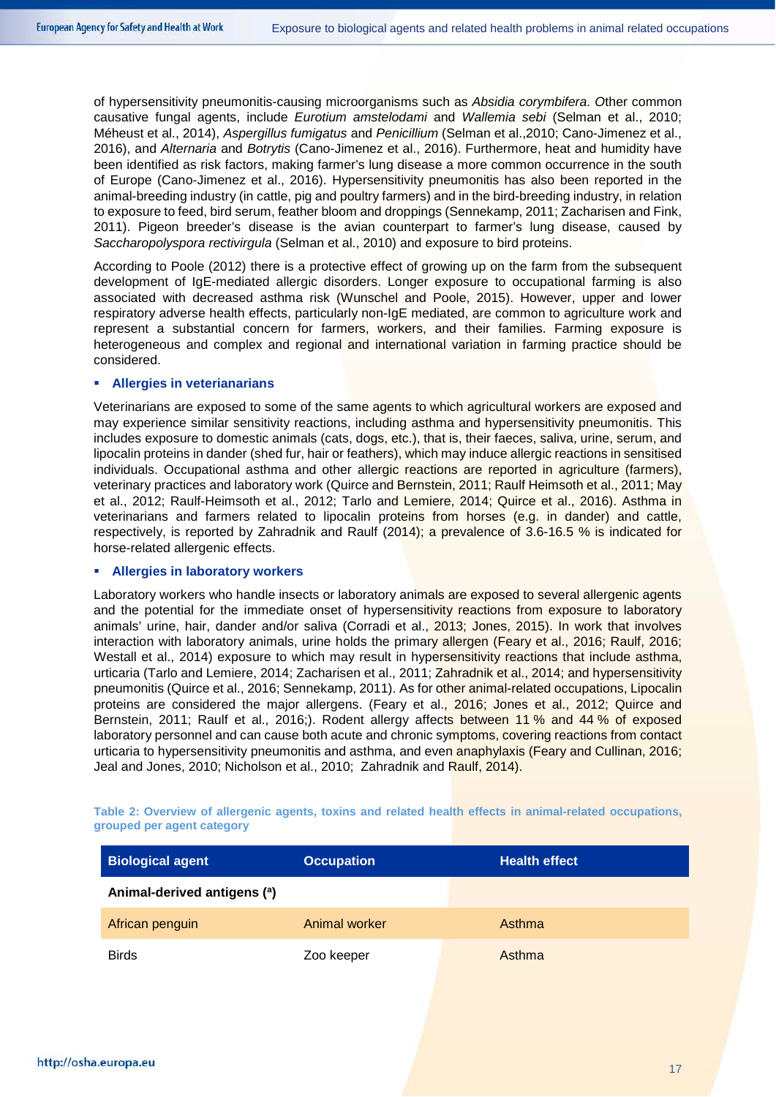of hypersensitivity pneumonitis-causing microorganisms such as *Absidia corymbifera. O*ther common causative fungal agents, include *Eurotium amstelodami* and *Wallemia sebi* (Selman et al., 2010; Méheust et al., 2014), *Aspergillus fumigatus* and *Penicillium* (Selman et al.,2010; Cano-Jimenez et al., 2016), and *Alternaria* and *Botrytis* (Cano-Jimenez et al., 2016). Furthermore, heat and humidity have been identified as risk factors, making farmer's lung disease a more common occurrence in the south of Europe (Cano-Jimenez et al., 2016). Hypersensitivity pneumonitis has also been reported in the animal-breeding industry (in cattle, pig and poultry farmers) and in the bird-breeding industry, in relation to exposure to feed, bird serum, feather bloom and droppings (Sennekamp, 2011; Zacharisen and Fink, 2011). Pigeon breeder's disease is the avian counterpart to farmer's lung disease, caused by *Saccharopolyspora rectivirgula* (Selman et al., 2010) and exposure to bird proteins.

According to Poole (2012) there is a protective effect of growing up on the farm from the subsequent development of IgE-mediated allergic disorders. Longer exposure to occupational farming is also associated with decreased asthma risk (Wunschel and Poole, 2015). However, upper and lower respiratory adverse health effects, particularly non-IgE mediated, are common to agriculture work and represent a substantial concern for farmers, workers, and their families. Farming exposure is heterogeneous and complex and regional and international variation in farming practice should be considered.

#### **Allergies in veterianarians**

Veterinarians are exposed to some of the same agents to which agricultural workers are exposed and may experience similar sensitivity reactions, including asthma and hypersensitivity pneumonitis. This includes exposure to domestic animals (cats, dogs, etc.), that is, their faeces, saliva, urine, serum, and lipocalin proteins in dander (shed fur, hair or feathers), which may induce allergic reactions in sensitised individuals. Occupational asthma and other allergic reactions are reported in agriculture (farmers), veterinary practices and laboratory work (Quirce and Bernstein, 2011; Raulf Heimsoth et al., 2011; May et al., 2012; Raulf-Heimsoth et al., 2012; Tarlo and Lemiere, 2014; Quirce et al., 2016). Asthma in veterinarians and farmers related to lipocalin proteins from horses (e.g. in dander) and cattle, respectively, is reported by Zahradnik and Raulf (2014); a prevalence of 3.6-16.5 % is indicated for horse-related allergenic effects.

#### **Allergies in laboratory workers**

Laboratory workers who handle insects or laboratory animals are exposed to several allergenic agents and the potential for the immediate onset of hypersensitivity reactions from exposure to laboratory animals' urine, hair, dander and/or saliva (Corradi et al., 2013; Jones, 2015). In work that involves interaction with laboratory animals, urine holds the primary allergen (Feary et al., 2016; Raulf, 2016; Westall et al., 2014) exposure to which may result in hypersensitivity reactions that include asthma, urticaria (Tarlo and Lemiere, 2014; Zacharisen et al., 2011; Zahradnik et al., 2014; and hypersensitivity pneumonitis (Quirce et al., 2016; Sennekamp, 2011). As for other animal-related occupations, Lipocalin proteins are considered the major allergens. (Feary et al., 2016; Jones et al., 2012; Quirce and Bernstein, 2011; Raulf et al., 2016;). Rodent allergy affects between 11 % and 44 % of exposed laboratory personnel and can cause both acute and chronic symptoms, covering reactions from contact urticaria to hypersensitivity pneumonitis and asthma, and even anaphylaxis (Feary and Cullinan, 2016; Jeal and Jones, 2010; Nicholson et al., 2010; Zahradnik and Raulf, 2014).

| <b>Biological agent</b>     | <b>Occupation</b> | <b>Health effect</b> |
|-----------------------------|-------------------|----------------------|
| Animal-derived antigens (a) |                   |                      |
| African penguin             | Animal worker     | Asthma               |
| <b>Birds</b>                | Zoo keeper        | Asthma               |

<span id="page-16-0"></span>**Table 2: Overview of allergenic agents, toxins and related health effects in animal-related occupations, grouped per agent category**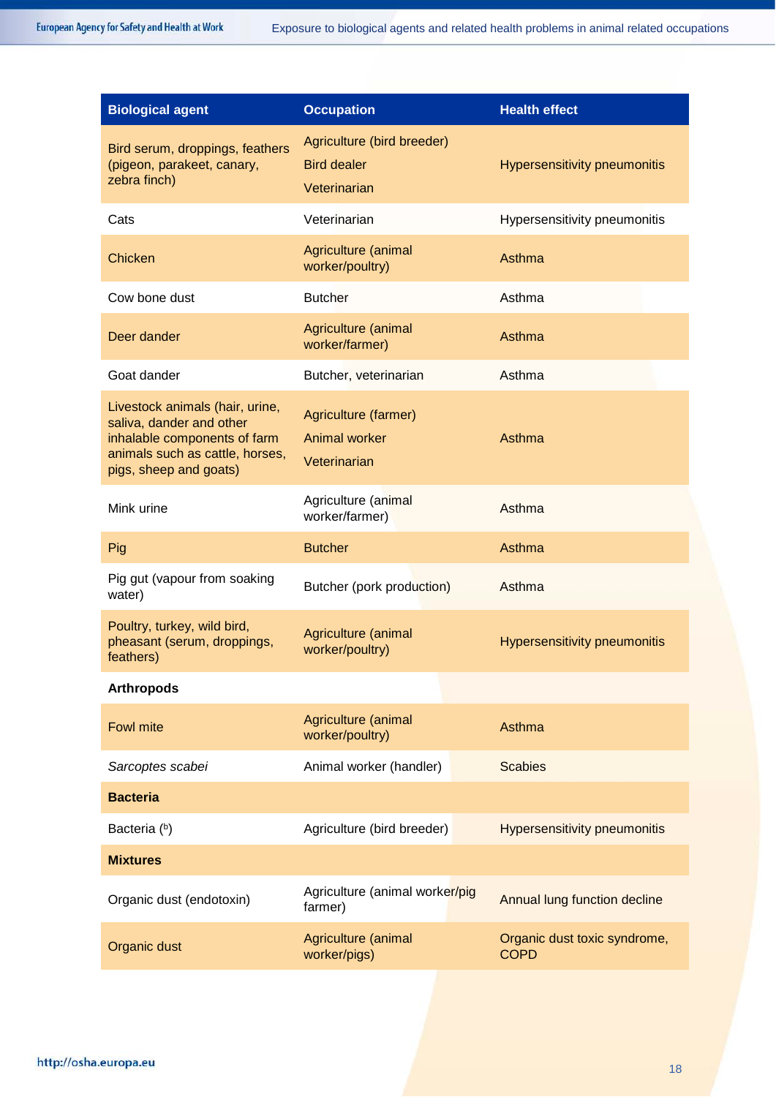| <b>Biological agent</b>                                                                                                                                  | <b>Occupation</b>                                                | <b>Health effect</b>                        |
|----------------------------------------------------------------------------------------------------------------------------------------------------------|------------------------------------------------------------------|---------------------------------------------|
| Bird serum, droppings, feathers<br>(pigeon, parakeet, canary,<br>zebra finch)                                                                            | Agriculture (bird breeder)<br><b>Bird dealer</b><br>Veterinarian | <b>Hypersensitivity pneumonitis</b>         |
| Cats                                                                                                                                                     | Veterinarian                                                     | Hypersensitivity pneumonitis                |
| Chicken                                                                                                                                                  | Agriculture (animal<br>worker/poultry)                           | Asthma                                      |
| Cow bone dust                                                                                                                                            | <b>Butcher</b>                                                   | Asthma                                      |
| Deer dander                                                                                                                                              | Agriculture (animal<br>worker/farmer)                            | Asthma                                      |
| Goat dander                                                                                                                                              | Butcher, veterinarian                                            | Asthma                                      |
| Livestock animals (hair, urine,<br>saliva, dander and other<br>inhalable components of farm<br>animals such as cattle, horses,<br>pigs, sheep and goats) | Agriculture (farmer)<br>Animal worker<br>Veterinarian            | Asthma                                      |
| Mink urine                                                                                                                                               | Agriculture (animal<br>worker/farmer)                            | Asthma                                      |
| Pig                                                                                                                                                      | <b>Butcher</b>                                                   | Asthma                                      |
| Pig gut (vapour from soaking<br>water)                                                                                                                   | Butcher (pork production)                                        | Asthma                                      |
| Poultry, turkey, wild bird,<br>pheasant (serum, droppings,<br>feathers)                                                                                  | Agriculture (animal<br>worker/poultry)                           | <b>Hypersensitivity pneumonitis</b>         |
| <b>Arthropods</b>                                                                                                                                        |                                                                  |                                             |
| Fowl mite                                                                                                                                                | Agriculture (animal<br>worker/poultry)                           | Asthma                                      |
| Sarcoptes scabei                                                                                                                                         | Animal worker (handler)                                          | <b>Scabies</b>                              |
| <b>Bacteria</b>                                                                                                                                          |                                                                  |                                             |
| Bacteria (b)                                                                                                                                             | Agriculture (bird breeder)                                       | <b>Hypersensitivity pneumonitis</b>         |
| <b>Mixtures</b>                                                                                                                                          |                                                                  |                                             |
| Organic dust (endotoxin)                                                                                                                                 | Agriculture (animal worker/pig<br>farmer)                        | Annual lung function decline                |
| Organic dust                                                                                                                                             | Agriculture (animal<br>worker/pigs)                              | Organic dust toxic syndrome,<br><b>COPD</b> |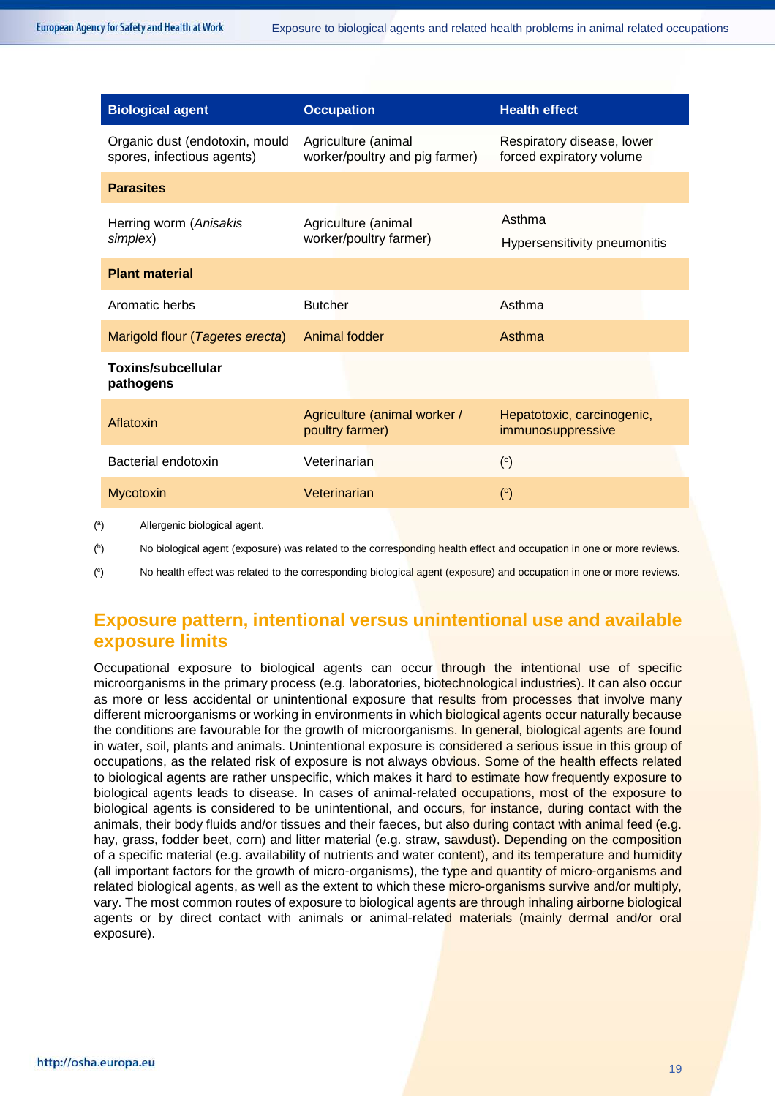| <b>Biological agent</b>                                      | <b>Occupation</b>                                     | <b>Health effect</b>                                   |
|--------------------------------------------------------------|-------------------------------------------------------|--------------------------------------------------------|
| Organic dust (endotoxin, mould<br>spores, infectious agents) | Agriculture (animal<br>worker/poultry and pig farmer) | Respiratory disease, lower<br>forced expiratory volume |
| <b>Parasites</b>                                             |                                                       |                                                        |
| Herring worm (Anisakis<br>simplex)                           | Agriculture (animal<br>worker/poultry farmer)         | Asthma<br>Hypersensitivity pneumonitis                 |
| <b>Plant material</b>                                        |                                                       |                                                        |
| Aromatic herbs                                               | <b>Butcher</b>                                        | Asthma                                                 |
| Marigold flour (Tagetes erecta)                              | Animal fodder                                         | Asthma                                                 |
| <b>Toxins/subcellular</b><br>pathogens                       |                                                       |                                                        |
| Aflatoxin                                                    | Agriculture (animal worker /<br>poultry farmer)       | Hepatotoxic, carcinogenic,<br>immunosuppressive        |
| Bacterial endotoxin                                          | Veterinarian                                          | $\binom{c}{c}$                                         |
| Mycotoxin                                                    | Veterinarian                                          | (c)                                                    |
| Allergenic biological agent                                  |                                                       |                                                        |

( a ) Allergenic biological agent.

( b No biological agent (exposure) was related to the corresponding health effect and occupation in one or more reviews.

 $\binom{c}{c}$ ) No health effect was related to the corresponding biological agent (exposure) and occupation in one or more reviews.

# **Exposure pattern, intentional versus unintentional use and available exposure limits**

Occupational exposure to biological agents can occur through the intentional use of specific microorganisms in the primary process (e.g. laboratories, biotechnological industries). It can also occur as more or less accidental or unintentional exposure that results from processes that involve many different microorganisms or working in environments in which **biological agents occur naturally because** the conditions are favourable for the growth of microorganisms. In general, biological agents are found in water, soil, plants and animals. Unintentional exposure is considered a serious issue in this group of occupations, as the related risk of exposure is not always obvious. Some of the health effects related to biological agents are rather unspecific, which makes it hard to estimate how frequently exposure to biological agents leads to disease. In cases of animal-related occupations, most of the exposure to biological agents is considered to be unintentional, and occurs, for instance, during contact with the animals, their body fluids and/or tissues and their faeces, but also during contact with animal feed (e.g. hay, grass, fodder beet, corn) and litter material (e.g. straw, sawdust). Depending on the composition of a specific material (e.g. availability of nutrients and water content), and its temperature and humidity (all important factors for the growth of micro-organisms), the type and quantity of micro-organisms and related biological agents, as well as the extent to which these micro-organisms survive and/or multiply, vary. The most common routes of exposure to biological agents are through inhaling airborne biological agents or by direct contact with animals or animal-related materials (mainly dermal and/or oral exposure).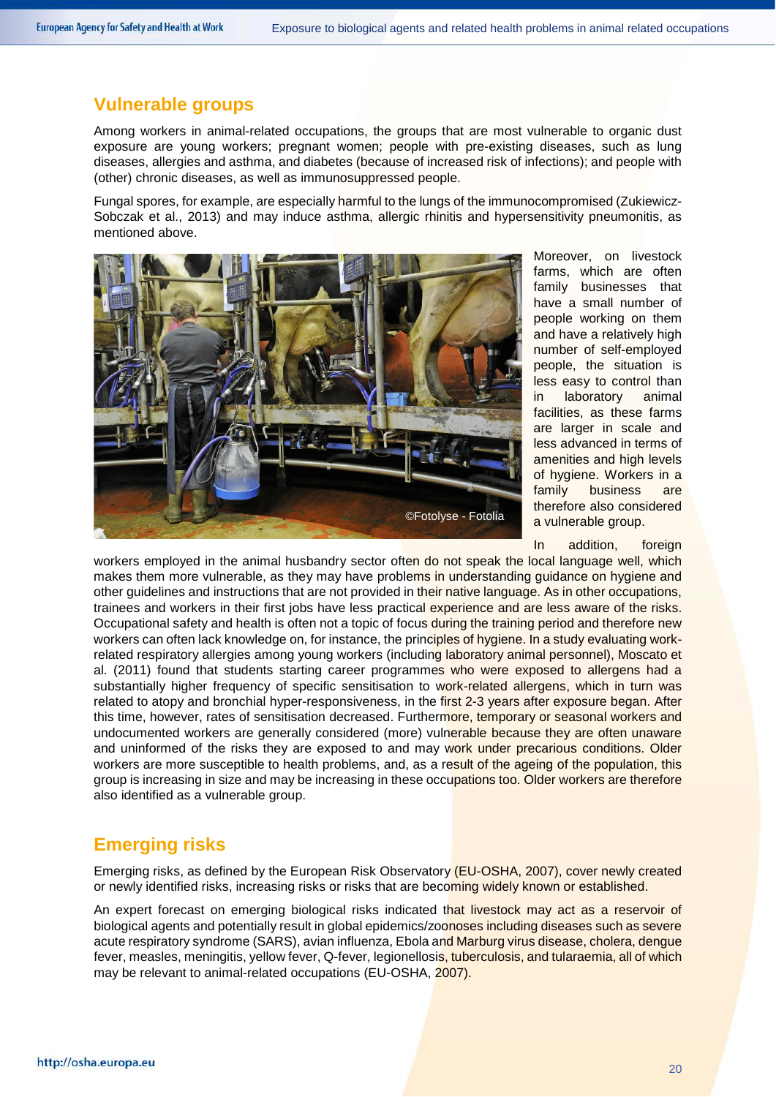### **Vulnerable groups**

Among workers in animal-related occupations, the groups that are most vulnerable to organic dust exposure are young workers; pregnant women; people with pre-existing diseases, such as lung diseases, allergies and asthma, and diabetes (because of increased risk of infections); and people with (other) chronic diseases, as well as immunosuppressed people.

Fungal spores, for example, are especially harmful to the lungs of the immunocompromised (Zukiewicz-Sobczak et al., 2013) and may induce asthma, allergic rhinitis and hypersensitivity pneumonitis, as mentioned above.



Moreover, on livestock farms, which are often family businesses that have a small number of people working on them and have a relatively high number of self-employed people, the situation is less easy to control than in laboratory animal facilities, as these farms are larger in scale and less advanced in terms of amenities and high levels of hygiene. Workers in a family business are therefore also considered a vulnerable group.

In addition, foreign

workers employed in the animal husbandry sector often do not speak the local language well, which makes them more vulnerable, as they may have problems in understanding guidance on hygiene and other guidelines and instructions that are not provided in their native language. As in other occupations, trainees and workers in their first jobs have less practical experience and are less aware of the risks. Occupational safety and health is often not a topic of focus during the training period and therefore new workers can often lack knowledge on, for instance, the principles of hygiene. In a study evaluating workrelated respiratory allergies among young workers (including laboratory animal personnel), Moscato et al. (2011) found that students starting career programmes who were exposed to allergens had a substantially higher frequency of specific sensitisation to work-related allergens, which in turn was related to atopy and bronchial hyper-responsiveness, in the first 2-3 years after exposure began. After this time, however, rates of sensitisation decreased. Furthermore, temporary or seasonal workers and undocumented workers are generally considered (more) vulnerable because they are often unaware and uninformed of the risks they are exposed to and may work under precarious conditions. Older workers are more susceptible to health problems, and, as a result of the ageing of the population, this group is increasing in size and may be increasing in these occupations too. Older workers are therefore also identified as a vulnerable group.

# **Emerging risks**

Emerging risks, as defined by the European Risk Observatory (EU-OSHA, 2007), cover newly created or newly identified risks, increasing risks or risks that are becoming widely known or established.

An expert forecast on emerging biological risks indicated that livestock may act as a reservoir of biological agents and potentially result in global epidemics/zoonoses including diseases such as severe acute respiratory syndrome (SARS), avian influenza, Ebola and Marburg virus disease, cholera, dengue fever, measles, meningitis, yellow fever, Q-fever, legionellosis, tuberculosis, and tularaemia, all of which may be relevant to animal-related occupations (EU-OSHA, 2007).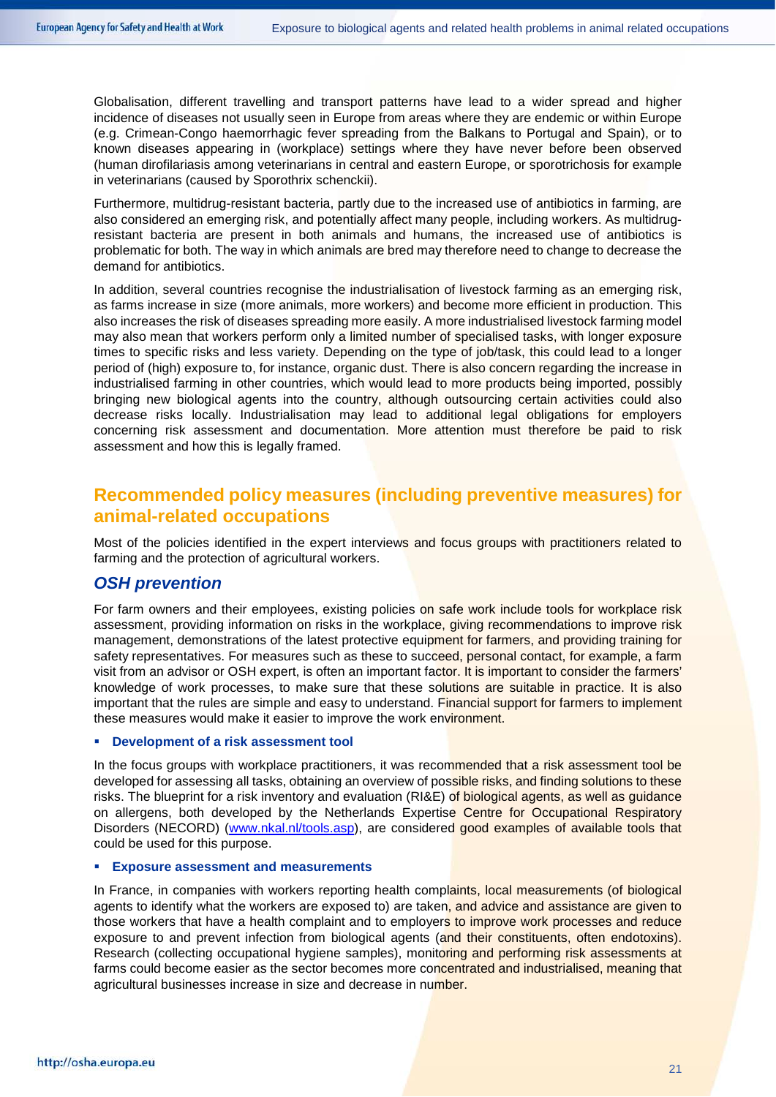Globalisation, different travelling and transport patterns have lead to a wider spread and higher incidence of diseases not usually seen in Europe from areas where they are endemic or within Europe (e.g. Crimean-Congo haemorrhagic fever spreading from the Balkans to Portugal and Spain), or to known diseases appearing in (workplace) settings where they have never before been observed (human dirofilariasis among veterinarians in central and eastern Europe, or sporotrichosis for example in veterinarians (caused by Sporothrix schenckii).

Furthermore, multidrug-resistant bacteria, partly due to the increased use of antibiotics in farming, are also considered an emerging risk, and potentially affect many people, including workers. As multidrugresistant bacteria are present in both animals and humans, the increased use of antibiotics is problematic for both. The way in which animals are bred may therefore need to change to decrease the demand for antibiotics.

In addition, several countries recognise the industrialisation of livestock farming as an emerging risk, as farms increase in size (more animals, more workers) and become more efficient in production. This also increases the risk of diseases spreading more easily. A more industrialised livestock farming model may also mean that workers perform only a limited number of specialised tasks, with longer exposure times to specific risks and less variety. Depending on the type of job/task, this could lead to a longer period of (high) exposure to, for instance, organic dust. There is also concern regarding the increase in industrialised farming in other countries, which would lead to more products being imported, possibly bringing new biological agents into the country, although outsourcing certain activities could also decrease risks locally. Industrialisation may lead to additional legal obligations for employers concerning risk assessment and documentation. More attention must therefore be paid to risk assessment and how this is legally framed.

# **Recommended policy measures (including preventive measures) for animal-related occupations**

Most of the policies identified in the expert interviews and focus groups with practitioners related to farming and the protection of agricultural workers.

### *OSH prevention*

For farm owners and their employees, existing policies on safe work include tools for workplace risk assessment, providing information on risks in the workplace, giving recommendations to improve risk management, demonstrations of the latest protective equipment for farmers, and providing training for safety representatives. For measures such as these to succeed, personal contact, for example, a farm visit from an advisor or OSH expert, is often an important factor. It is important to consider the farmers' knowledge of work processes, to make sure that these solutions are suitable in practice. It is also important that the rules are simple and easy to understand. Financial support for farmers to implement these measures would make it easier to improve the work environment.

### **Development of a risk assessment tool**

In the focus groups with workplace practitioners, it was recommended that a risk assessment tool be developed for assessing all tasks, obtaining an overview of possible risks, and finding solutions to these risks. The blueprint for a risk inventory and evaluation (RI&E) of biological agents, as well as guidance on allergens, both developed by the Netherlands Expertise Centre for Occupational Respiratory Disorders (NECORD) [\(www.nkal.nl/tools.asp\)](file://AGENCY.dom/SHARED/COMMONPROJECTS/Operational%20activities/4.7%20Awareness%20raising%20&%20Comm%202017/Publications/w834-ES-Biological-healthproblems-animals/For%20approval/www.nkal.nl/tools.asp), are considered good examples of available tools that could be used for this purpose.

### **Exposure assessment and measurements**

In France, in companies with workers reporting health complaints, local measurements (of biological agents to identify what the workers are exposed to) are taken, and advice and assistance are given to those workers that have a health complaint and to employers to improve work processes and reduce exposure to and prevent infection from biological agents (and their constituents, often endotoxins). Research (collecting occupational hygiene samples), monitoring and performing risk assessments at farms could become easier as the sector becomes more concentrated and industrialised, meaning that agricultural businesses increase in size and decrease in number.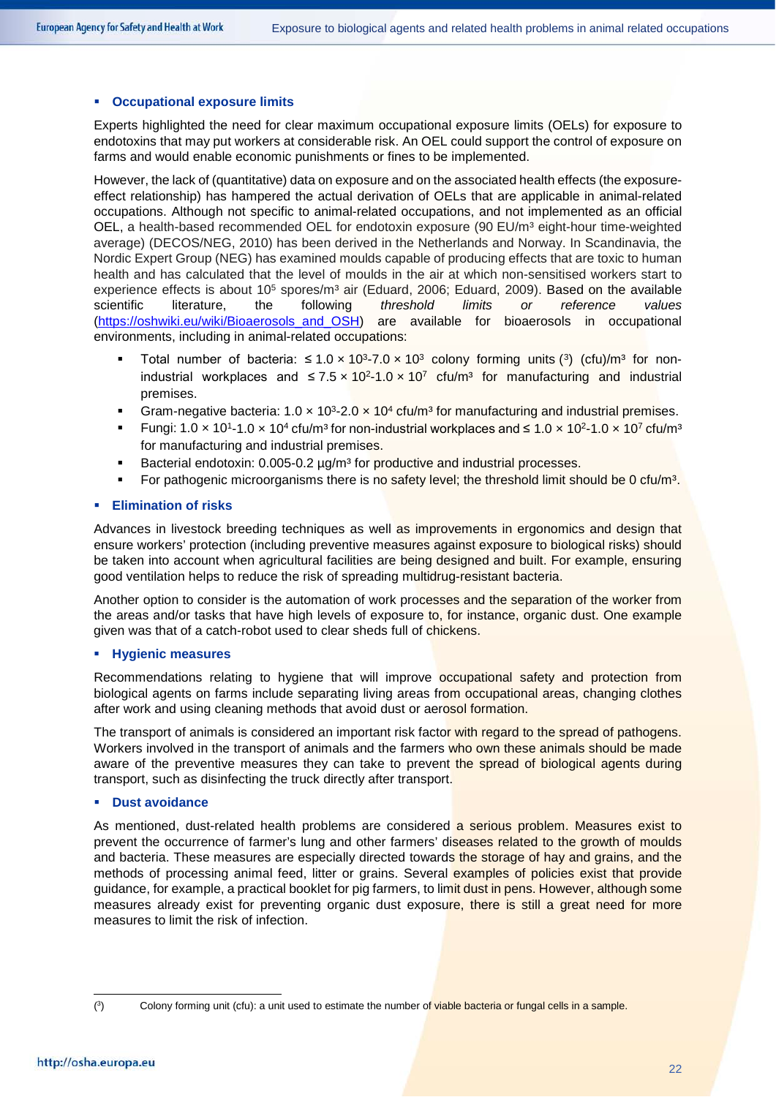#### **Occupational exposure limits**

Experts highlighted the need for clear maximum occupational exposure limits (OELs) for exposure to endotoxins that may put workers at considerable risk. An OEL could support the control of exposure on farms and would enable economic punishments or fines to be implemented.

However, the lack of (quantitative) data on exposure and on the associated health effects (the exposureeffect relationship) has hampered the actual derivation of OELs that are applicable in animal-related occupations. Although not specific to animal-related occupations, and not implemented as an official OEL, a health-based recommended OEL for endotoxin exposure (90 EU/m<sup>3</sup> eight-hour time-weighted average) (DECOS/NEG, 2010) has been derived in the Netherlands and Norway. In Scandinavia, the Nordic Expert Group (NEG) has examined moulds capable of producing effects that are toxic to human health and has calculated that the level of moulds in the air at which non-sensitised workers start to experience effects is about  $10^5$  spores/m<sup>3</sup> air (Eduard, 2006; Eduard, 2009). Based on the available scientific literature, the following *threshold limits or reference values* [\(https://oshwiki.eu/wiki/Bioaerosols\\_and\\_OSH\)](https://oshwiki.eu/wiki/Bioaerosols_and_OSH) are available for bioaerosols in occupational environments, including in animal-related occupations:

- Total number of bacteria:  $\leq 1.0 \times 10^{3}$  $\leq 1.0 \times 10^{3}$  $\leq 1.0 \times 10^{3}$ -7.0 × 10<sup>3</sup> colony forming units (<sup>3</sup>) (cfu)/m<sup>3</sup> for nonindustrial workplaces and  $\leq 7.5 \times 10^{2} - 1.0 \times 10^{7}$  cfu/m<sup>3</sup> for manufacturing and industrial premises.
- Gram-negative bacteria:  $1.0 \times 10^{3} 2.0 \times 10^{4}$  cfu/m<sup>3</sup> for manufacturing and industrial premises.
- Fungi:  $1.0 \times 10^{1}$ -1.0 ×  $10^{4}$  cfu/m<sup>3</sup> for non-industrial workplaces and ≤  $1.0 \times 10^{2}$ -1.0 ×  $10^{7}$  cfu/m<sup>3</sup> for manufacturing and industrial premises.
- Bacterial endotoxin: 0.005-0.2 µg/m<sup>3</sup> for productive and industrial processes.
- For pathogenic microorganisms there is no safety level; the threshold limit should be 0 cfu/m<sup>3</sup>.

### **Elimination of risks**

Advances in livestock breeding techniques as well as improvements in ergonomics and design that ensure workers' protection (including preventive measures against exposure to biological risks) should be taken into account when agricultural facilities are being designed and built. For example, ensuring good ventilation helps to reduce the risk of spreading multidrug-resistant bacteria.

Another option to consider is the automation of work processes and the separation of the worker from the areas and/or tasks that have high levels of exposure to, for instance, organic dust. One example given was that of a catch-robot used to clear sheds full of chickens.

### **Hygienic measures**

Recommendations relating to hygiene that will improve occupational safety and protection from biological agents on farms include separating living areas from occupational areas, changing clothes after work and using cleaning methods that avoid dust or aerosol formation.

The transport of animals is considered an important risk factor with regard to the spread of pathogens. Workers involved in the transport of animals and the farmers who own these animals should be made aware of the preventive measures they can take to prevent the spread of biological agents during transport, such as disinfecting the truck directly after transport.

### **Dust avoidance**

As mentioned, dust-related health problems are considered a serious problem. Measures exist to prevent the occurrence of farmer's lung and other farmers' diseases related to the growth of moulds and bacteria. These measures are especially directed towards the storage of hay and grains, and the methods of processing animal feed, litter or grains. Several examples of policies exist that provide guidance, for example, a practical booklet for pig farmers, to limit dust in pens. However, although some measures already exist for preventing organic dust exposure, there is still a great need for more measures to limit the risk of infection.

<span id="page-21-0"></span><sup>-&</sup>lt;br>(  $(3)$ 

Colony forming unit (cfu): a unit used to estimate the number of viable bacteria or fungal cells in a sample.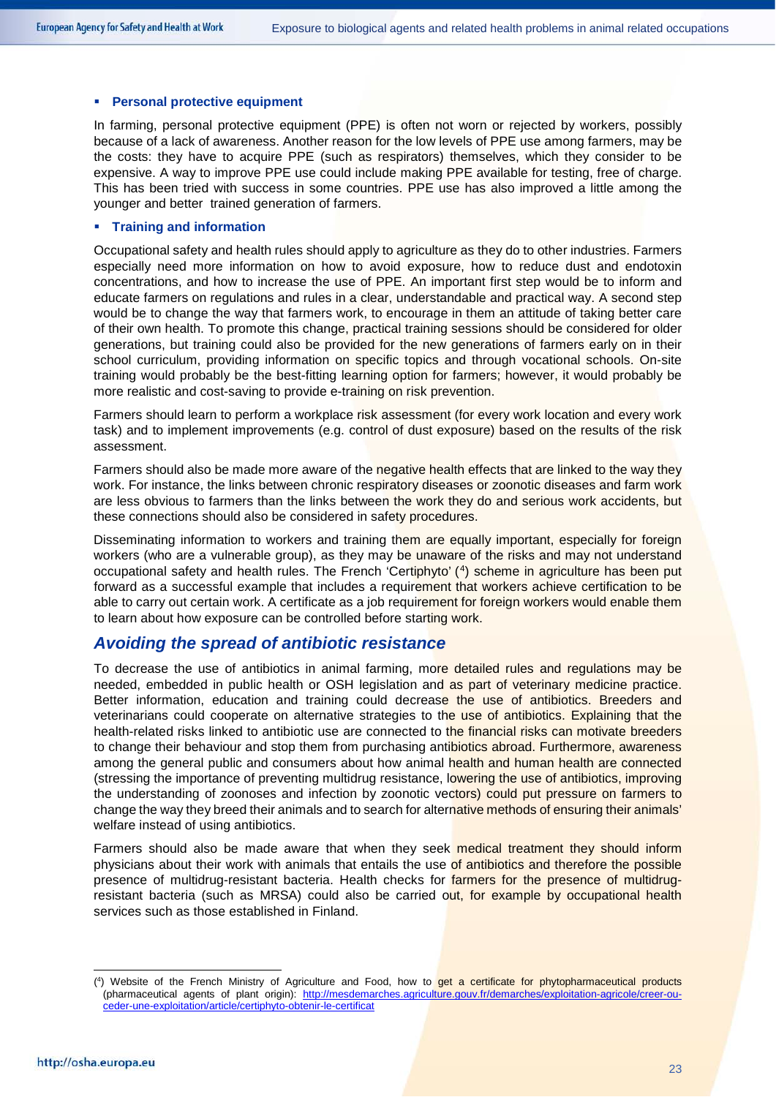#### **Personal protective equipment**

In farming, personal protective equipment (PPE) is often not worn or rejected by workers, possibly because of a lack of awareness. Another reason for the low levels of PPE use among farmers, may be the costs: they have to acquire PPE (such as respirators) themselves, which they consider to be expensive. A way to improve PPE use could include making PPE available for testing, free of charge. This has been tried with success in some countries. PPE use has also improved a little among the younger and better trained generation of farmers.

### **Training and information**

Occupational safety and health rules should apply to agriculture as they do to other industries. Farmers especially need more information on how to avoid exposure, how to reduce dust and endotoxin concentrations, and how to increase the use of PPE. An important first step would be to inform and educate farmers on regulations and rules in a clear, understandable and practical way. A second step would be to change the way that farmers work, to encourage in them an attitude of taking better care of their own health. To promote this change, practical training sessions should be considered for older generations, but training could also be provided for the new generations of farmers early on in their school curriculum, providing information on specific topics and through vocational schools. On-site training would probably be the best-fitting learning option for farmers; however, it would probably be more realistic and cost-saving to provide e-training on risk prevention.

Farmers should learn to perform a workplace risk assessment (for every work location and every work task) and to implement improvements (e.g. control of dust exposure) based on the results of the risk assessment.

Farmers should also be made more aware of the negative health effects that are linked to the way they work. For instance, the links between chronic respiratory diseases or zoonotic diseases and farm work are less obvious to farmers than the links between the work they do and serious work accidents, but these connections should also be considered in safety procedures.

Disseminating information to workers and training them are equally important, especially for foreign workers (who are a vulnerable group), as they may be unaware of the risks and may not understand occupational safety and health rules. The French 'Certiphyto' ([4\)](#page-22-0) scheme in agriculture has been put forward as a successful example that includes a requirement that workers achieve certification to be able to carry out certain work. A certificate as a job requirement for foreign workers would enable them to learn about how exposure can be controlled before starting work.

### *Avoiding the spread of antibiotic resistance*

To decrease the use of antibiotics in animal farming, more detailed rules and regulations may be needed, embedded in public health or OSH legislation and as part of veterinary medicine practice. Better information, education and training could decrease the use of antibiotics. Breeders and veterinarians could cooperate on alternative strategies to the use of antibiotics. Explaining that the health-related risks linked to antibiotic use are connected to the financial risks can motivate breeders to change their behaviour and stop them from purchasing antibiotics abroad. Furthermore, awareness among the general public and consumers about how animal health and human health are connected (stressing the importance of preventing multidrug resistance, lowering the use of antibiotics, improving the understanding of zoonoses and infection by zoonotic vectors) could put pressure on farmers to change the way they breed their animals and to search for alternative methods of ensuring their animals' welfare instead of using antibiotics.

Farmers should also be made aware that when they seek medical treatment they should inform physicians about their work with animals that entails the use of antibiotics and therefore the possible presence of multidrug-resistant bacteria. Health checks for farmers for the presence of multidrugresistant bacteria (such as MRSA) could also be carried out, for example by occupational health services such as those established in Finland.

<span id="page-22-0"></span><sup>.&</sup>lt;br>( <sup>4</sup>) Website of the French Ministry of Agriculture and Food, how to **get a certificate for phytopharmaceutical products** (pharmaceutical agents of plant origin): [http://mesdemarches.agriculture.gouv.fr/demarches/exploitation-agricole/creer-ou](http://mesdemarches.agriculture.gouv.fr/demarches/exploitation-agricole/creer-ou-ceder-une-exploitation/article/certiphyto-obtenir-le-certificat)[ceder-une-exploitation/article/certiphyto-obtenir-le-certificat](http://mesdemarches.agriculture.gouv.fr/demarches/exploitation-agricole/creer-ou-ceder-une-exploitation/article/certiphyto-obtenir-le-certificat)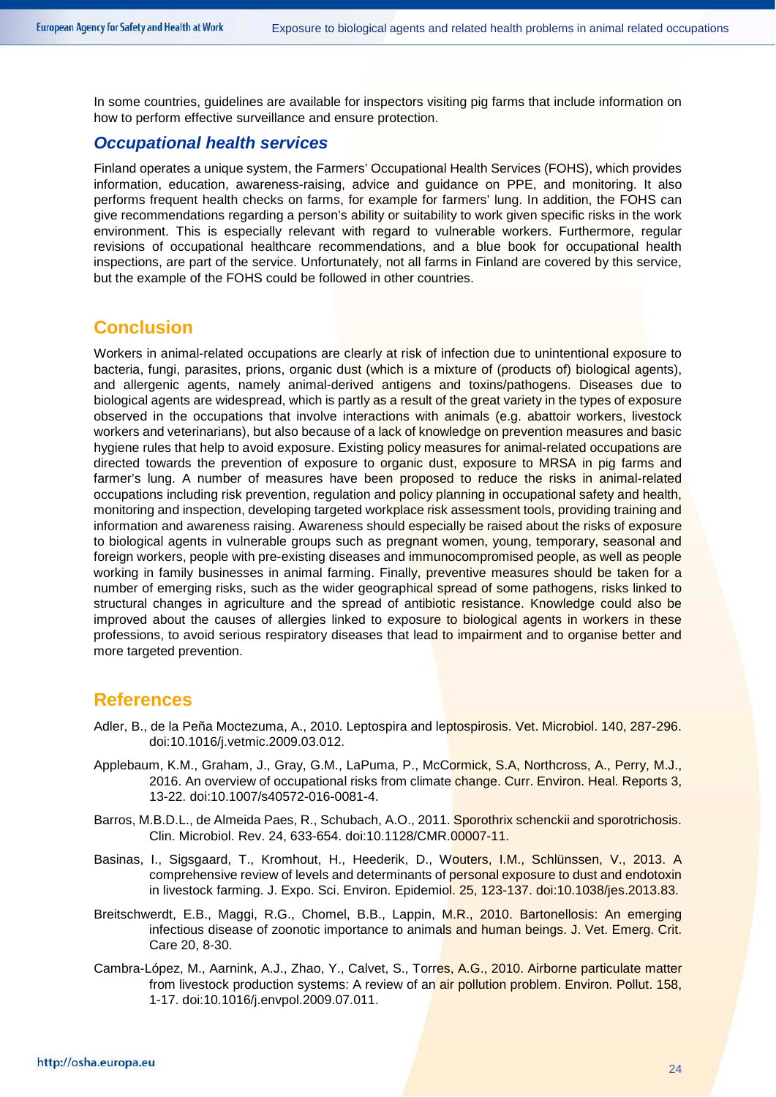In some countries, guidelines are available for inspectors visiting pig farms that include information on how to perform effective surveillance and ensure protection.

### *Occupational health services*

Finland operates a unique system, the Farmers' Occupational Health Services (FOHS), which provides information, education, awareness-raising, advice and guidance on PPE, and monitoring. It also performs frequent health checks on farms, for example for farmers' lung. In addition, the FOHS can give recommendations regarding a person's ability or suitability to work given specific risks in the work environment. This is especially relevant with regard to vulnerable workers. Furthermore, regular revisions of occupational healthcare recommendations, and a blue book for occupational health inspections, are part of the service. Unfortunately, not all farms in Finland are covered by this service, but the example of the FOHS could be followed in other countries.

### **Conclusion**

Workers in animal-related occupations are clearly at risk of infection due to unintentional exposure to bacteria, fungi, parasites, prions, organic dust (which is a mixture of (products of) biological agents), and allergenic agents, namely animal-derived antigens and toxins/pathogens. Diseases due to biological agents are widespread, which is partly as a result of the great variety in the types of exposure observed in the occupations that involve interactions with animals (e.g. abattoir workers, livestock workers and veterinarians), but also because of a lack of knowledge on prevention measures and basic hygiene rules that help to avoid exposure. Existing policy measures for animal-related occupations are directed towards the prevention of exposure to organic dust, exposure to MRSA in pig farms and farmer's lung. A number of measures have been proposed to reduce the risks in animal-related occupations including risk prevention, regulation and policy planning in occupational safety and health, monitoring and inspection, developing targeted workplace risk assessment tools, providing training and information and awareness raising. Awareness should especially be raised about the risks of exposure to biological agents in vulnerable groups such as pregnant women, young, temporary, seasonal and foreign workers, people with pre-existing diseases and immunocompromised people, as well as people working in family businesses in animal farming. Finally, preventive measures should be taken for a number of emerging risks, such as the wider geographical spread of some pathogens, risks linked to structural changes in agriculture and the spread of antibiotic resistance. Knowledge could also be improved about the causes of allergies linked to exposure to biological agents in workers in these professions, to avoid serious respiratory diseases that lead to impairment and to organise better and more targeted prevention.

### **References**

- Adler, B., de la Peña Moctezuma, A., 2010. Leptospira and leptospirosis. Vet. Microbiol. 140, 287-296. doi:10.1016/j.vetmic.2009.03.012.
- Applebaum, K.M., Graham, J., Gray, G.M., LaPuma, P., McCormick, S.A, Northcross, A., Perry, M.J., 2016. An overview of occupational risks from climate change. Curr. Environ. Heal. Reports 3, 13-22. doi:10.1007/s40572-016-0081-4.
- Barros, M.B.D.L., de Almeida Paes, R., Schubach, A.O., 2011. Sporothrix schenckii and sporotrichosis. Clin. Microbiol. Rev. 24, 633-654. doi:10.1128/CMR.00007-11.
- Basinas, I., Sigsgaard, T., Kromhout, H., Heederik, D., Wouters, I.M., Schlünssen, V., 2013. A comprehensive review of levels and determinants of personal exposure to dust and endotoxin in livestock farming. J. Expo. Sci. Environ. Epidemiol. 25, 123-137. doi:10.1038/jes.2013.83.
- Breitschwerdt, E.B., Maggi, R.G., Chomel, B.B., Lappin, M.R., 2010. Bartonellosis: An emerging infectious disease of zoonotic importance to animals and human beings. J. Vet. Emerg. Crit. Care 20, 8-30.
- Cambra-López, M., Aarnink, A.J., Zhao, Y., Calvet, S., Torres, A.G., 2010. Airborne particulate matter from livestock production systems: A review of an air pollution problem. Environ. Pollut. 158, 1-17. doi:10.1016/j.envpol.2009.07.011.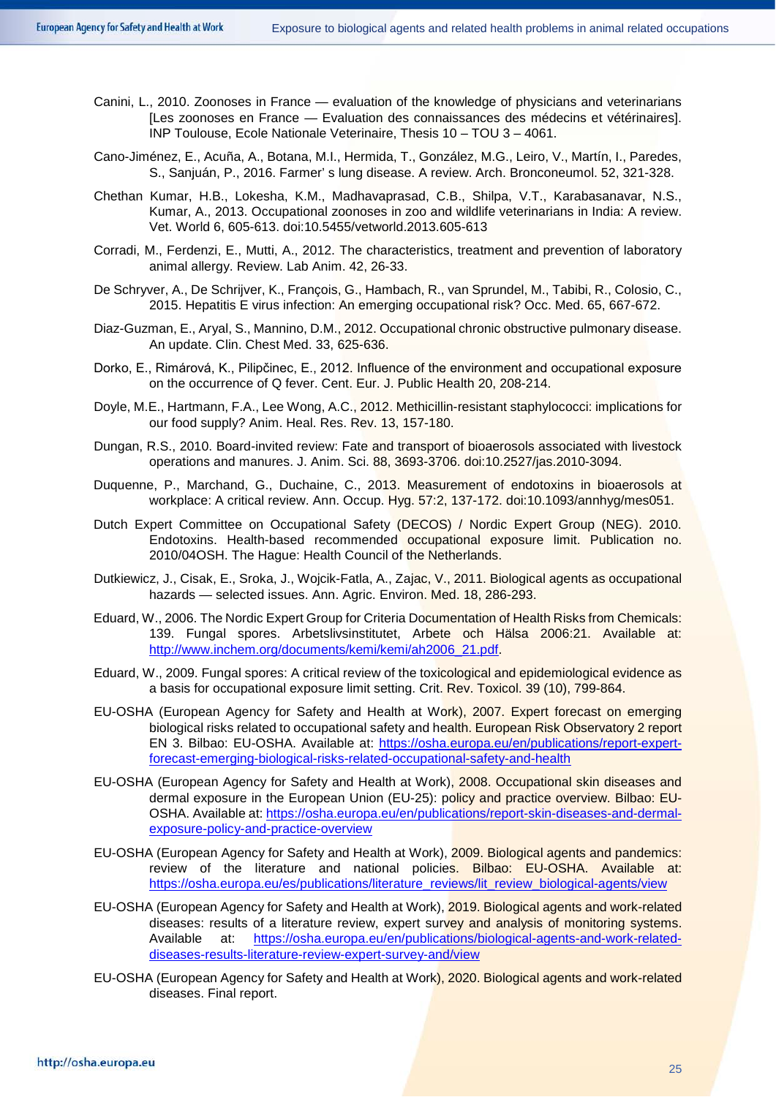- Canini, L., 2010. Zoonoses in France evaluation of the knowledge of physicians and veterinarians [Les zoonoses en France — Evaluation des connaissances des médecins et vétérinaires]. INP Toulouse, Ecole Nationale Veterinaire, Thesis 10 – TOU 3 – 4061.
- Cano-Jiménez, E., Acuña, A., Botana, M.I., Hermida, T., González, M.G., Leiro, V., Martín, I., Paredes, S., Sanjuán, P., 2016. Farmer' s lung disease. A review. Arch. Bronconeumol. 52, 321-328.
- Chethan Kumar, H.B., Lokesha, K.M., Madhavaprasad, C.B., Shilpa, V.T., Karabasanavar, N.S., Kumar, A., 2013. Occupational zoonoses in zoo and wildlife veterinarians in India: A review. Vet. World 6, 605-613. doi:10.5455/vetworld.2013.605-613
- Corradi, M., Ferdenzi, E., Mutti, A., 2012. The characteristics, treatment and prevention of laboratory animal allergy. Review. Lab Anim. 42, 26-33.
- De Schryver, A., De Schrijver, K., François, G., Hambach, R., van Sprundel, M., Tabibi, R., Colosio, C., 2015. Hepatitis E virus infection: An emerging occupational risk? Occ. Med. 65, 667-672.
- Diaz-Guzman, E., Aryal, S., Mannino, D.M., 2012. Occupational chronic obstructive pulmonary disease. An update. Clin. Chest Med. 33, 625-636.
- Dorko, E., Rimárová, K., Pilipčinec, E., 2012. Influence of the environment and occupational exposure on the occurrence of Q fever. Cent. Eur. J. Public Health 20, 208-214.
- Doyle, M.E., Hartmann, F.A., Lee Wong, A.C., 2012. Methicillin-resistant staphylococci: implications for our food supply? Anim. Heal. Res. Rev. 13, 157-180.
- Dungan, R.S., 2010. Board-invited review: Fate and transport of bioaerosols associated with livestock operations and manures. J. Anim. Sci. 88, 3693-3706. doi:10.2527/jas.2010-3094.
- Duquenne, P., Marchand, G., Duchaine, C., 2013. Measurement of endotoxins in bioaerosols at workplace: A critical review. Ann. Occup. Hyg. 57:2, 137-172. doi:10.1093/annhyg/mes051.
- Dutch Expert Committee on Occupational Safety (DECOS) / Nordic Expert Group (NEG). 2010. Endotoxins. Health-based recommended occupational exposure limit. Publication no. 2010/04OSH. The Hague: Health Council of the Netherlands.
- Dutkiewicz, J., Cisak, E., Sroka, J., Wojcik-Fatla, A., Zajac, V., 2011. Biological agents as occupational hazards — selected issues. Ann. Agric. Environ. Med. 18, 286-293.
- Eduard, W., 2006. The Nordic Expert Group for Criteria Documentation of Health Risks from Chemicals: 139. Fungal spores. Arbetslivsinstitutet, Arbete och Hälsa 2006:21. Available at: [http://www.inchem.org/documents/kemi/kemi/ah2006\\_21.pdf.](http://www.inchem.org/documents/kemi/kemi/ah2006_21.pdf)
- Eduard, W., 2009. Fungal spores: A critical review of the toxicological and epidemiological evidence as a basis for occupational exposure limit setting. Crit. Rev. Toxicol. 39 (10), 799-864.
- EU-OSHA (European Agency for Safety and Health at Work), 2007. Expert forecast on emerging biological risks related to occupational safety and health. European Risk Observatory 2 report EN 3. Bilbao: EU-OSHA. Available at: [https://osha.europa.eu/en/publications/report-expert](https://osha.europa.eu/en/publications/report-expert-forecast-emerging-biological-risks-related-occupational-safety-and-health)[forecast-emerging-biological-risks-related-occupational-safety-and-health](https://osha.europa.eu/en/publications/report-expert-forecast-emerging-biological-risks-related-occupational-safety-and-health)
- EU-OSHA (European Agency for Safety and Health at Work), 2008. Occupational skin diseases and dermal exposure in the European Union (EU-25): policy and practice overview. Bilbao: EU-OSHA. Available at: [https://osha.europa.eu/en/publications/report-skin-diseases-and-dermal](https://osha.europa.eu/en/publications/report-skin-diseases-and-dermal-exposure-policy-and-practice-overview)[exposure-policy-and-practice-overview](https://osha.europa.eu/en/publications/report-skin-diseases-and-dermal-exposure-policy-and-practice-overview)
- EU-OSHA (European Agency for Safety and Health at Work), 2009. Biological agents and pandemics: review of the literature and national policies. Bilbao: EU-OSHA. Available at: [https://osha.europa.eu/es/publications/literature\\_reviews/lit\\_review\\_biological-agents/view](https://osha.europa.eu/es/publications/literature_reviews/lit_review_biological-agents/view)
- EU-OSHA (European Agency for Safety and Health at Work), 2019. Biological agents and work-related diseases: results of a literature review, expert survey and analysis of monitoring systems. Available at: [https://osha.europa.eu/en/publications/biological-agents-and-work-related](https://osha.europa.eu/en/publications/biological-agents-and-work-related-diseases-results-literature-review-expert-survey-and/view)[diseases-results-literature-review-expert-survey-and/view](https://osha.europa.eu/en/publications/biological-agents-and-work-related-diseases-results-literature-review-expert-survey-and/view)
- EU-OSHA (European Agency for Safety and Health at Work), 2020. Biological agents and work-related diseases. Final report.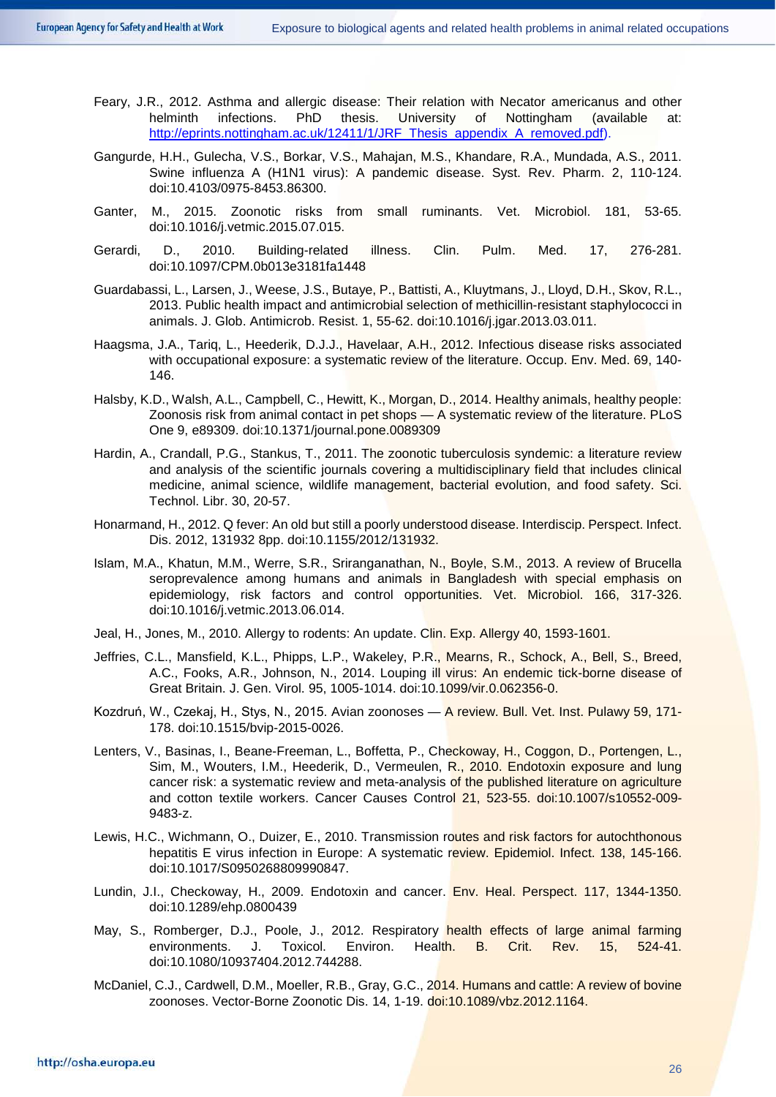- Feary, J.R., 2012. Asthma and allergic disease: Their relation with Necator americanus and other helminth infections. PhD thesis. University of Nottingham (available at: [http://eprints.nottingham.ac.uk/12411/1/JRF\\_Thesis\\_appendix\\_A\\_removed.pdf\)](http://eprints.nottingham.ac.uk/12411/1/JRF_Thesis_appendix_A_removed.pdf).
- Gangurde, H.H., Gulecha, V.S., Borkar, V.S., Mahajan, M.S., Khandare, R.A., Mundada, A.S., 2011. Swine influenza A (H1N1 virus): A pandemic disease. Syst. Rev. Pharm. 2, 110-124. doi:10.4103/0975-8453.86300.
- Ganter, M., 2015. Zoonotic risks from small ruminants. Vet. Microbiol. 181, 53-65. doi:10.1016/j.vetmic.2015.07.015.
- Gerardi, D., 2010. Building-related illness. Clin. Pulm. Med. 17, 276-281. doi:10.1097/CPM.0b013e3181fa1448
- Guardabassi, L., Larsen, J., Weese, J.S., Butaye, P., Battisti, A., Kluytmans, J., Lloyd, D.H., Skov, R.L., 2013. Public health impact and antimicrobial selection of methicillin-resistant staphylococci in animals. J. Glob. Antimicrob. Resist. 1, 55-62. doi:10.1016/j.jgar.2013.03.011.
- Haagsma, J.A., Tariq, L., Heederik, D.J.J., Havelaar, A.H., 2012. Infectious disease risks associated with occupational exposure: a systematic review of the literature. Occup. Env. Med. 69, 140- 146.
- Halsby, K.D., Walsh, A.L., Campbell, C., Hewitt, K., Morgan, D., 2014. Healthy animals, healthy people: Zoonosis risk from animal contact in pet shops — A systematic review of the literature. PLoS One 9, e89309. doi:10.1371/journal.pone.0089309
- Hardin, A., Crandall, P.G., Stankus, T., 2011. The zoonotic tuberculosis syndemic: a literature review and analysis of the scientific journals covering a multidisciplinary field that includes clinical medicine, animal science, wildlife management, bacterial evolution, and food safety. Sci. Technol. Libr. 30, 20-57.
- Honarmand, H., 2012. Q fever: An old but still a poorly understood disease. Interdiscip. Perspect. Infect. Dis. 2012, 131932 8pp. doi:10.1155/2012/131932.
- Islam, M.A., Khatun, M.M., Werre, S.R., Sriranganathan, N., Boyle, S.M., 2013. A review of Brucella seroprevalence among humans and animals in Bangladesh with special emphasis on epidemiology, risk factors and control opportunities. Vet. Microbiol. 166, 317-326. doi:10.1016/j.vetmic.2013.06.014.
- Jeal, H., Jones, M., 2010. Allergy to rodents: An update. Clin. Exp. Allergy 40, 1593-1601.
- Jeffries, C.L., Mansfield, K.L., Phipps, L.P., Wakeley, P.R., Mearns, R., Schock, A., Bell, S., Breed, A.C., Fooks, A.R., Johnson, N., 2014. Louping ill virus: An endemic tick-borne disease of Great Britain. J. Gen. Virol. 95, 1005-1014. doi:10.1099/vir.0.062356-0.
- Kozdruń, W., Czekaj, H., Stys, N., 2015. Avian zoonoses A review. Bull. Vet. Inst. Pulawy 59, 171- 178. doi:10.1515/bvip-2015-0026.
- Lenters, V., Basinas, I., Beane-Freeman, L., Boffetta, P., Checkoway, H., Coggon, D., Portengen, L., Sim, M., Wouters, I.M., Heederik, D., Vermeulen, R., 2010. Endotoxin exposure and lung cancer risk: a systematic review and meta-analysis of the published literature on agriculture and cotton textile workers. Cancer Causes Control 21, 523-55. doi:10.1007/s10552-009- 9483-z.
- Lewis, H.C., Wichmann, O., Duizer, E., 2010. Transmission routes and risk factors for autochthonous hepatitis E virus infection in Europe: A systematic review. Epidemiol. Infect. 138, 145-166. doi:10.1017/S0950268809990847.
- Lundin, J.I., Checkoway, H., 2009. Endotoxin and cancer. **Env. Heal. Perspect. 117, 1344-1350.** doi:10.1289/ehp.0800439
- May, S., Romberger, D.J., Poole, J., 2012. Respiratory health effects of large animal farming environments. J. Toxicol. Environ. Health. B. Crit. Rev. 15, 524-41. doi:10.1080/10937404.2012.744288.
- McDaniel, C.J., Cardwell, D.M., Moeller, R.B., Gray, G.C., 2014. Humans and cattle: A review of bovine zoonoses. Vector-Borne Zoonotic Dis. 14, 1-19. doi:10.1089/vbz.2012.1164.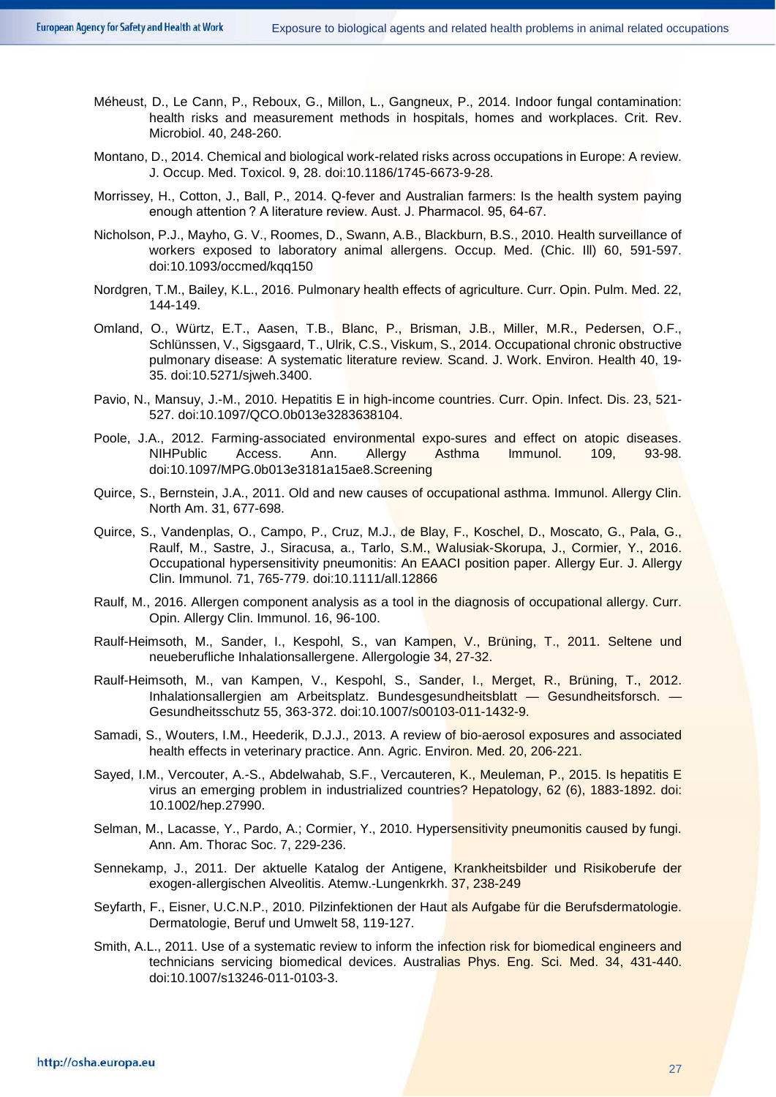- Méheust, D., Le Cann, P., Reboux, G., Millon, L., Gangneux, P., 2014. Indoor fungal contamination: health risks and measurement methods in hospitals, homes and workplaces. Crit. Rev. Microbiol. 40, 248-260.
- Montano, D., 2014. Chemical and biological work-related risks across occupations in Europe: A review. J. Occup. Med. Toxicol. 9, 28. doi:10.1186/1745-6673-9-28.
- Morrissey, H., Cotton, J., Ball, P., 2014. Q-fever and Australian farmers: Is the health system paying enough attention ? A literature review. Aust. J. Pharmacol. 95, 64-67.
- Nicholson, P.J., Mayho, G. V., Roomes, D., Swann, A.B., Blackburn, B.S., 2010. Health surveillance of workers exposed to laboratory animal allergens. Occup. Med. (Chic. Ill) 60, 591-597. doi:10.1093/occmed/kqq150
- Nordgren, T.M., Bailey, K.L., 2016. Pulmonary health effects of agriculture. Curr. Opin. Pulm. Med. 22, 144-149.
- Omland, O., Würtz, E.T., Aasen, T.B., Blanc, P., Brisman, J.B., Miller, M.R., Pedersen, O.F., Schlünssen, V., Sigsgaard, T., Ulrik, C.S., Viskum, S., 2014. Occupational chronic obstructive pulmonary disease: A systematic literature review. Scand. J. Work. Environ. Health 40, 19- 35. doi:10.5271/sjweh.3400.
- Pavio, N., Mansuy, J.-M., 2010. Hepatitis E in high-income countries. Curr. Opin. Infect. Dis. 23, 521- 527. doi:10.1097/QCO.0b013e3283638104.
- Poole, J.A., 2012. Farming-associated environmental expo-sures and effect on atopic diseases. NIHPublic Access. Ann. Allergy Asthma Immunol. 109, 93-98. doi:10.1097/MPG.0b013e3181a15ae8.Screening
- Quirce, S., Bernstein, J.A., 2011. Old and new causes of occupational asthma. Immunol. Allergy Clin. North Am. 31, 677-698.
- Quirce, S., Vandenplas, O., Campo, P., Cruz, M.J., de Blay, F., Koschel, D., Moscato, G., Pala, G., Raulf, M., Sastre, J., Siracusa, a., Tarlo, S.M., Walusiak-Skorupa, J., Cormier, Y., 2016. Occupational hypersensitivity pneumonitis: An EAACI position paper. Allergy Eur. J. Allergy Clin. Immunol. 71, 765-779. doi:10.1111/all.12866
- Raulf, M., 2016. Allergen component analysis as a tool in the diagnosis of occupational allergy. Curr. Opin. Allergy Clin. Immunol. 16, 96-100.
- Raulf-Heimsoth, M., Sander, I., Kespohl, S., van Kampen, V., Brüning, T., 2011. Seltene und neueberufliche Inhalationsallergene. Allergologie 34, 27-32.
- Raulf-Heimsoth, M., van Kampen, V., Kespohl, S., Sander, I., Merget, R., Brüning, T., 2012. Inhalationsallergien am Arbeitsplatz. Bundesgesundheitsblatt — Gesundheitsforsch. Gesundheitsschutz 55, 363-372. doi:10.1007/s00103-011-1432-9.
- Samadi, S., Wouters, I.M., Heederik, D.J.J., 2013. A review of bio-aerosol exposures and associated health effects in veterinary practice. Ann. Agric. Environ. Med. 20, 206-221.
- Sayed, I.M., Vercouter, A.-S., Abdelwahab, S.F., Vercauteren, K., Meuleman, P., 2015. Is hepatitis E virus an emerging problem in industrialized countries? Hepatology, 62 (6), 1883-1892. doi: 10.1002/hep.27990.
- Selman, M., Lacasse, Y., Pardo, A.; Cormier, Y., 2010. Hypersensitivity pneumonitis caused by fungi. Ann. Am. Thorac Soc. 7, 229-236.
- Sennekamp, J., 2011. Der aktuelle Katalog der Antigene, Krankheitsbilder und Risikoberufe der exogen-allergischen Alveolitis. Atemw.-Lungenkrkh. 37, 238-249
- Seyfarth, F., Eisner, U.C.N.P., 2010. Pilzinfektionen der Haut als Aufgabe für die Berufsdermatologie. Dermatologie, Beruf und Umwelt 58, 119-127.
- Smith, A.L., 2011. Use of a systematic review to inform the infection risk for biomedical engineers and technicians servicing biomedical devices. Australias Phys. Eng. Sci. Med. 34, 431-440. doi:10.1007/s13246-011-0103-3.